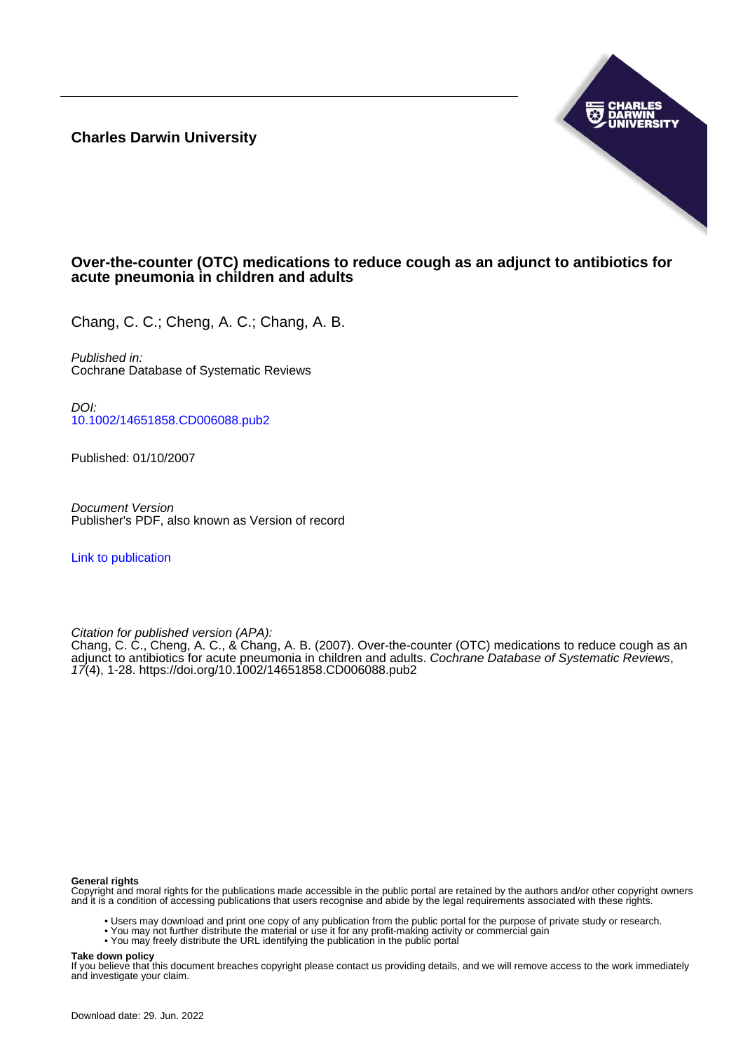**Charles Darwin University**



# **Over-the-counter (OTC) medications to reduce cough as an adjunct to antibiotics for acute pneumonia in children and adults**

Chang, C. C.; Cheng, A. C.; Chang, A. B.

Published in: Cochrane Database of Systematic Reviews

DOI: [10.1002/14651858.CD006088.pub2](https://doi.org/10.1002/14651858.CD006088.pub2)

Published: 01/10/2007

Document Version Publisher's PDF, also known as Version of record

[Link to publication](https://researchers.cdu.edu.au/en/publications/49ae1c88-9d5b-4688-83f1-f42a6695dc08)

Citation for published version (APA):

Chang, C. C., Cheng, A. C., & Chang, A. B. (2007). Over-the-counter (OTC) medications to reduce cough as an adjunct to antibiotics for acute pneumonia in children and adults. Cochrane Database of Systematic Reviews, 17(4), 1-28.<https://doi.org/10.1002/14651858.CD006088.pub2>

#### **General rights**

Copyright and moral rights for the publications made accessible in the public portal are retained by the authors and/or other copyright owners and it is a condition of accessing publications that users recognise and abide by the legal requirements associated with these rights.

- Users may download and print one copy of any publication from the public portal for the purpose of private study or research.
- You may not further distribute the material or use it for any profit-making activity or commercial gain
- You may freely distribute the URL identifying the publication in the public portal

#### **Take down policy**

If you believe that this document breaches copyright please contact us providing details, and we will remove access to the work immediately and investigate your claim.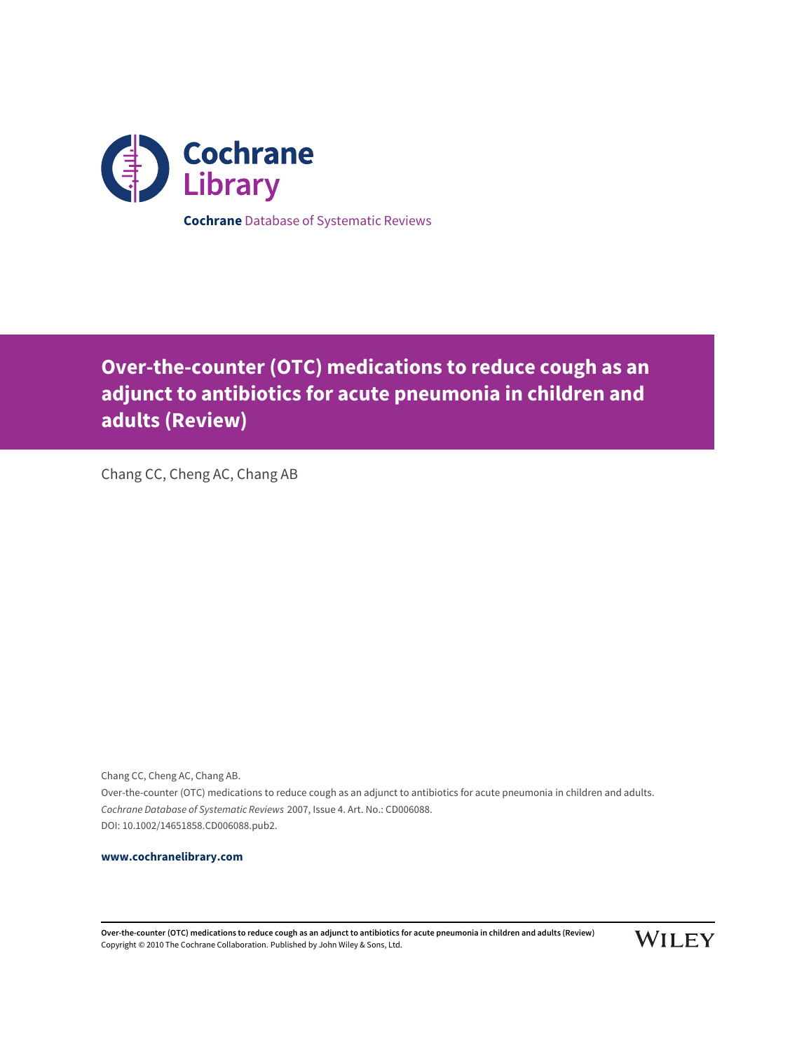

**Cochrane** Database of Systematic Reviews

# **Over-the-counter (OTC) medications to reduce cough as an adjunct to antibiotics for acute pneumonia in children and adults (Review)**

Chang CC, Cheng AC, Chang AB

Chang CC, Cheng AC, Chang AB. Over-the-counter (OTC) medications to reduce cough as an adjunct to antibiotics for acute pneumonia in children and adults. Cochrane Database of Systematic Reviews 2007, Issue 4. Art. No.: CD006088. DOI: 10.1002/14651858.CD006088.pub2.

# **[www.cochranelibrary.com](http://www.cochranelibrary.com)**

**Over-the-counter (OTC) medications to reduce cough as an adjunct to antibiotics for acute pneumonia in children and adults (Review)** Copyright © 2010 The Cochrane Collaboration. Published by John Wiley & Sons, Ltd.

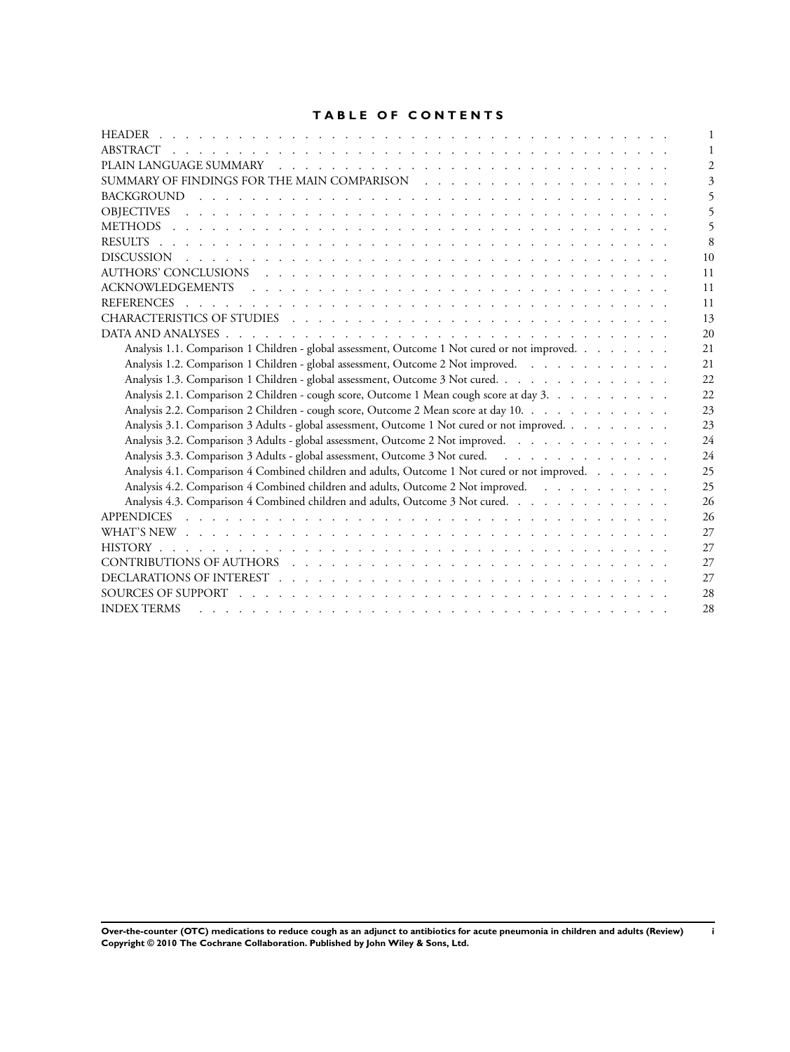# **TABLE OF CONTENTS**

| 8                                                                                                                                                                                                                                    |
|--------------------------------------------------------------------------------------------------------------------------------------------------------------------------------------------------------------------------------------|
| 10                                                                                                                                                                                                                                   |
| 11                                                                                                                                                                                                                                   |
| 11                                                                                                                                                                                                                                   |
| 11                                                                                                                                                                                                                                   |
| 13                                                                                                                                                                                                                                   |
| 20                                                                                                                                                                                                                                   |
| Analysis 1.1. Comparison 1 Children - global assessment, Outcome 1 Not cured or not improved.<br>21                                                                                                                                  |
| Analysis 1.2. Comparison 1 Children - global assessment, Outcome 2 Not improved.<br>21                                                                                                                                               |
| Analysis 1.3. Comparison 1 Children - global assessment, Outcome 3 Not cured.<br>22                                                                                                                                                  |
| Analysis 2.1. Comparison 2 Children - cough score, Outcome 1 Mean cough score at day 3.<br>22                                                                                                                                        |
| Analysis 2.2. Comparison 2 Children - cough score, Outcome 2 Mean score at day 10.<br>23                                                                                                                                             |
| Analysis 3.1. Comparison 3 Adults - global assessment, Outcome 1 Not cured or not improved.<br>23                                                                                                                                    |
| Analysis 3.2. Comparison 3 Adults - global assessment, Outcome 2 Not improved.<br>24                                                                                                                                                 |
| Analysis 3.3. Comparison 3 Adults - global assessment, Outcome 3 Not cured.<br>24                                                                                                                                                    |
| Analysis 4.1. Comparison 4 Combined children and adults, Outcome 1 Not cured or not improved.<br>25                                                                                                                                  |
| Analysis 4.2. Comparison 4 Combined children and adults, Outcome 2 Not improved.<br>25                                                                                                                                               |
| Analysis 4.3. Comparison 4 Combined children and adults, Outcome 3 Not cured.<br>26                                                                                                                                                  |
| 26                                                                                                                                                                                                                                   |
| WHAT'S NEW research and contained a series of the contact of the contact of the contact of the contact of the contact of the contact of the contact of the contact of the contact of the contact of the contact of the contact<br>27 |
| 27                                                                                                                                                                                                                                   |
| CONTRIBUTIONS OF AUTHORS (experience in the experience in the experimental contribution of the experimental contribution of the experiment of the experiment of the experiment of the experiment of the experiment of the expe<br>27 |
| 27                                                                                                                                                                                                                                   |
| 28                                                                                                                                                                                                                                   |
| <b>INDEX TERMS</b><br>28                                                                                                                                                                                                             |

**Over-the-counter (OTC) medications to reduce cough as an adjunct to antibiotics for acute pneumonia in children and adults (Review) i Copyright © 2010 The Cochrane Collaboration. Published by John Wiley & Sons, Ltd.**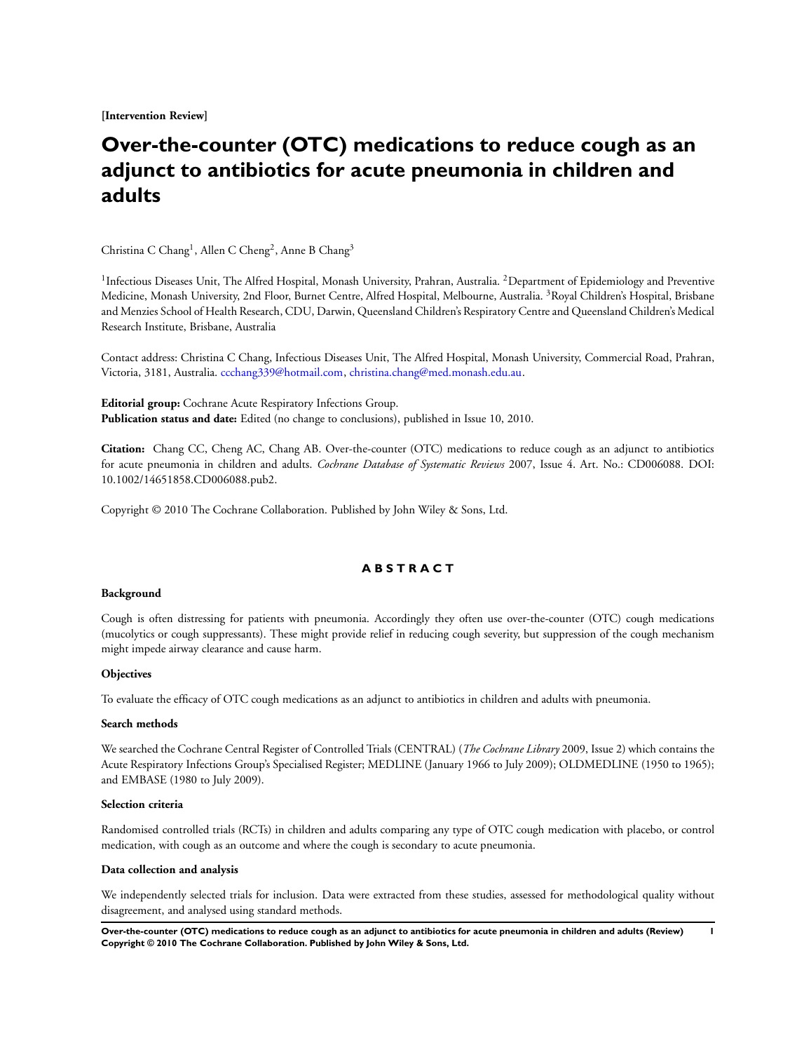**[Intervention Review]**

# **Over-the-counter (OTC) medications to reduce cough as an adjunct to antibiotics for acute pneumonia in children and adults**

Christina C Chang<sup>1</sup>, Allen C Cheng<sup>2</sup>, Anne B Chang<sup>3</sup>

<sup>1</sup> Infectious Diseases Unit, The Alfred Hospital, Monash University, Prahran, Australia. <sup>2</sup>Department of Epidemiology and Preventive Medicine, Monash University, 2nd Floor, Burnet Centre, Alfred Hospital, Melbourne, Australia. <sup>3</sup>Royal Children's Hospital, Brisbane and Menzies School of Health Research, CDU, Darwin, Queensland Children's Respiratory Centre and Queensland Children's Medical Research Institute, Brisbane, Australia

Contact address: Christina C Chang, Infectious Diseases Unit, The Alfred Hospital, Monash University, Commercial Road, Prahran, Victoria, 3181, Australia. [ccchang339@hotmail.com,](mailto:ccchang339@hotmail.com) [christina.chang@med.monash.edu.au](mailto:christina.chang@med.monash.edu.au).

**Editorial group:** Cochrane Acute Respiratory Infections Group. **Publication status and date:** Edited (no change to conclusions), published in Issue 10, 2010.

**Citation:** Chang CC, Cheng AC, Chang AB. Over-the-counter (OTC) medications to reduce cough as an adjunct to antibiotics for acute pneumonia in children and adults. *Cochrane Database of Systematic Reviews* 2007, Issue 4. Art. No.: CD006088. DOI: 10.1002/14651858.CD006088.pub2.

Copyright © 2010 The Cochrane Collaboration. Published by John Wiley & Sons, Ltd.

# **A B S T R A C T**

#### **Background**

Cough is often distressing for patients with pneumonia. Accordingly they often use over-the-counter (OTC) cough medications (mucolytics or cough suppressants). These might provide relief in reducing cough severity, but suppression of the cough mechanism might impede airway clearance and cause harm.

### **Objectives**

To evaluate the efficacy of OTC cough medications as an adjunct to antibiotics in children and adults with pneumonia.

#### **Search methods**

We searched the Cochrane Central Register of Controlled Trials (CENTRAL) (*The Cochrane Library* 2009, Issue 2) which contains the Acute Respiratory Infections Group's Specialised Register; MEDLINE (January 1966 to July 2009); OLDMEDLINE (1950 to 1965); and EMBASE (1980 to July 2009).

#### **Selection criteria**

Randomised controlled trials (RCTs) in children and adults comparing any type of OTC cough medication with placebo, or control medication, with cough as an outcome and where the cough is secondary to acute pneumonia.

#### **Data collection and analysis**

We independently selected trials for inclusion. Data were extracted from these studies, assessed for methodological quality without disagreement, and analysed using standard methods.

**Over-the-counter (OTC) medications to reduce cough as an adjunct to antibiotics for acute pneumonia in children and adults (Review) 1 Copyright © 2010 The Cochrane Collaboration. Published by John Wiley & Sons, Ltd.**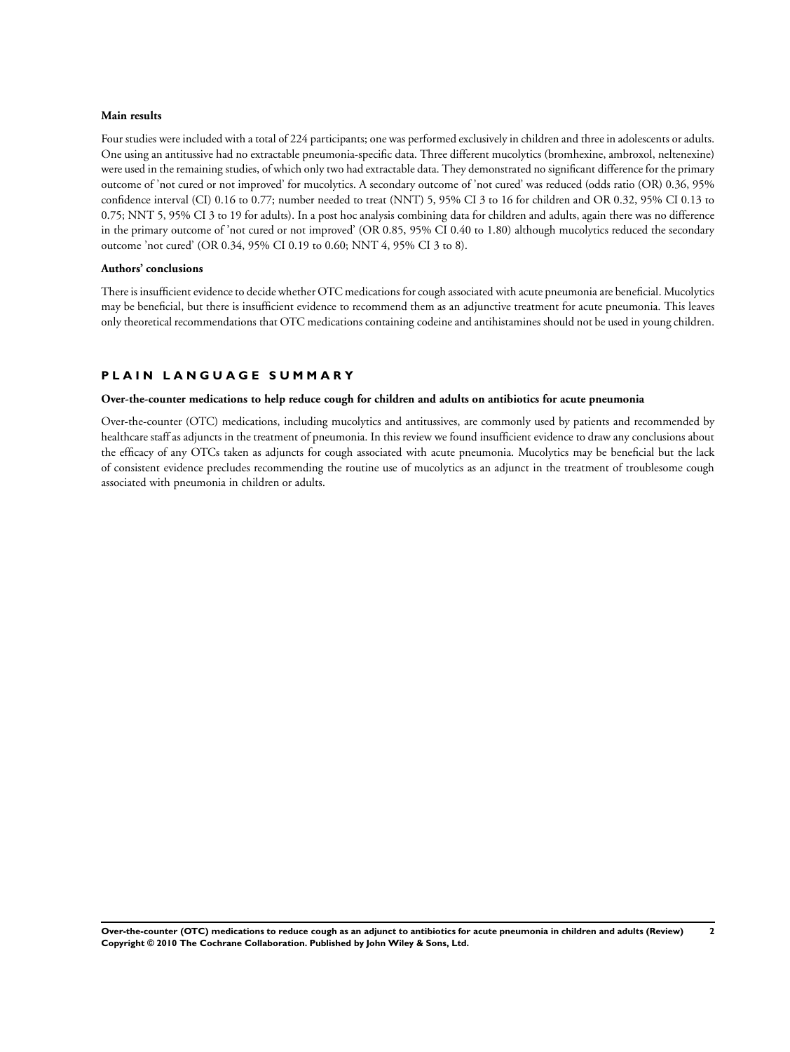## **Main results**

Four studies were included with a total of 224 participants; one was performed exclusively in children and three in adolescents or adults. One using an antitussive had no extractable pneumonia-specific data. Three different mucolytics (bromhexine, ambroxol, neltenexine) were used in the remaining studies, of which only two had extractable data. They demonstrated no significant difference for the primary outcome of 'not cured or not improved' for mucolytics. A secondary outcome of 'not cured' was reduced (odds ratio (OR) 0.36, 95% confidence interval (CI) 0.16 to 0.77; number needed to treat (NNT) 5, 95% CI 3 to 16 for children and OR 0.32, 95% CI 0.13 to 0.75; NNT 5, 95% CI 3 to 19 for adults). In a post hoc analysis combining data for children and adults, again there was no difference in the primary outcome of 'not cured or not improved' (OR 0.85, 95% CI 0.40 to 1.80) although mucolytics reduced the secondary outcome 'not cured' (OR 0.34, 95% CI 0.19 to 0.60; NNT 4, 95% CI 3 to 8).

#### **Authors' conclusions**

There is insufficient evidence to decide whether OTC medications for cough associated with acute pneumonia are beneficial. Mucolytics may be beneficial, but there is insufficient evidence to recommend them as an adjunctive treatment for acute pneumonia. This leaves only theoretical recommendations that OTC medications containing codeine and antihistamines should not be used in young children.

## **P L A I N L A N G U A G E S U M M A R Y**

### **Over-the-counter medications to help reduce cough for children and adults on antibiotics for acute pneumonia**

Over-the-counter (OTC) medications, including mucolytics and antitussives, are commonly used by patients and recommended by healthcare staff as adjuncts in the treatment of pneumonia. In this review we found insufficient evidence to draw any conclusions about the efficacy of any OTCs taken as adjuncts for cough associated with acute pneumonia. Mucolytics may be beneficial but the lack of consistent evidence precludes recommending the routine use of mucolytics as an adjunct in the treatment of troublesome cough associated with pneumonia in children or adults.

**Over-the-counter (OTC) medications to reduce cough as an adjunct to antibiotics for acute pneumonia in children and adults (Review) 2 Copyright © 2010 The Cochrane Collaboration. Published by John Wiley & Sons, Ltd.**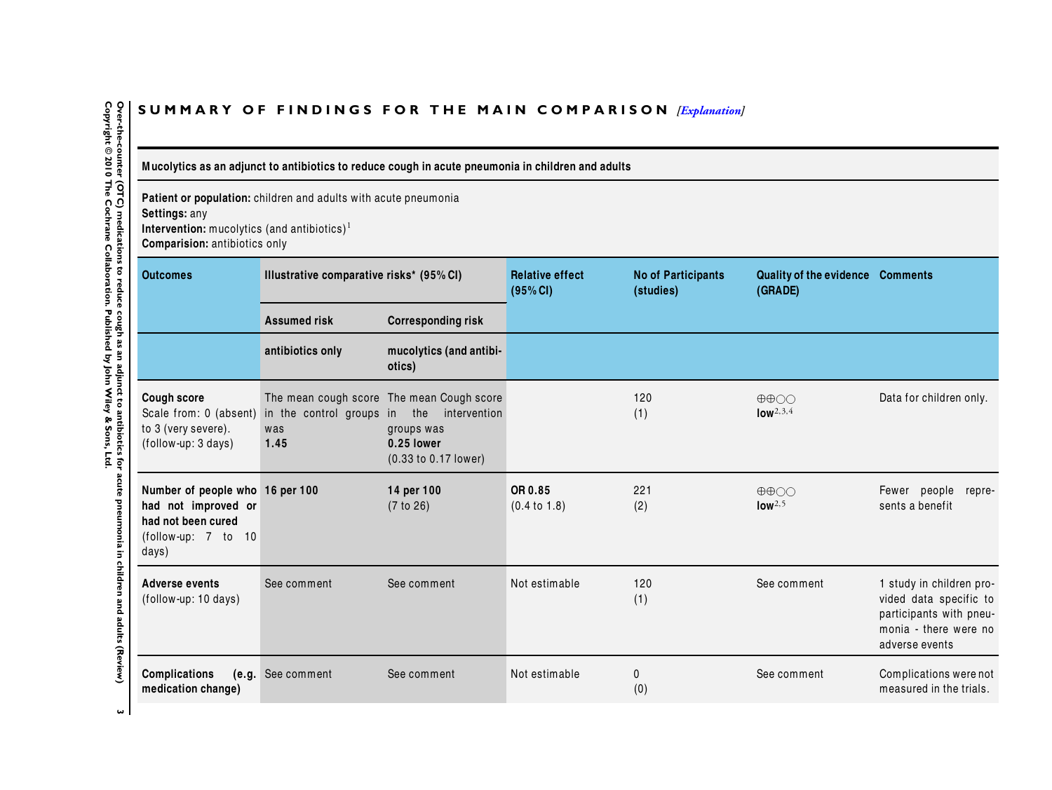# <span id="page-5-0"></span>SUMMARY OF FINDINGS FOR THE MAIN COMPARISON *[\[Explanation\]](http://www.thecochranelibrary.com/view/0/SummaryFindings.html)*

Mucolytics as an adjunct to antibiotics to reduce cough in acute pneumonia in children and adults

**Patient or population:** children and adults with acute pneumonia

**Settings:** any

**Intervention:** mucolytics (and antibiotics) 1 **Comparision:** antibiotics only

| <b>Outcomes</b>                                                                                              | Illustrative comparative risks* (95% CI)                           |                                                                                                               | <b>Relative effect</b><br>(95% CI) | <b>No of Participants</b><br>(studies) | <b>Quality of the evidence</b><br>(GRADE)          | <b>Comments</b>                                                                                                          |
|--------------------------------------------------------------------------------------------------------------|--------------------------------------------------------------------|---------------------------------------------------------------------------------------------------------------|------------------------------------|----------------------------------------|----------------------------------------------------|--------------------------------------------------------------------------------------------------------------------------|
|                                                                                                              | <b>Assumed risk</b>                                                | <b>Corresponding risk</b>                                                                                     |                                    |                                        |                                                    |                                                                                                                          |
|                                                                                                              | antibiotics only                                                   | mucolytics (and antibi-<br>otics)                                                                             |                                    |                                        |                                                    |                                                                                                                          |
| <b>Cough score</b><br>to 3 (very severe).<br>(follow-up: 3 days)                                             | Scale from: 0 (absent) in the control groups in the<br>was<br>1.45 | The mean cough score The mean Cough score<br>intervention<br>groups was<br>0.25 lower<br>(0.33 to 0.17 lower) |                                    | 120<br>(1)                             | $\oplus \oplus \bigcirc \bigcirc$<br>$low^{2,3,4}$ | Data for children only.                                                                                                  |
| Number of people who 16 per 100<br>had not improved or<br>had not been cured<br>(follow-up: 7 to 10<br>days) |                                                                    | 14 per 100<br>(7 to 26)                                                                                       | OR 0.85<br>(0.4 to 1.8)            | 221<br>(2)                             | $\oplus \oplus \odot \odot$<br>low <sup>2,5</sup>  | Fewer people<br>repre-<br>sents a benefit                                                                                |
| <b>Adverse events</b><br>(follow-up: 10 days)                                                                | See comment                                                        | See comment                                                                                                   | Not estimable                      | 120<br>(1)                             | See comment                                        | 1 study in children pro-<br>vided data specific to<br>participants with pneu-<br>monia - there were no<br>adverse events |
| Complications<br>medication change)                                                                          | (e.g. See comment                                                  | See comment                                                                                                   | Not estimable                      | 0<br>(0)                               | See comment                                        | Complications were not<br>measured in the trials.                                                                        |

 $\omega$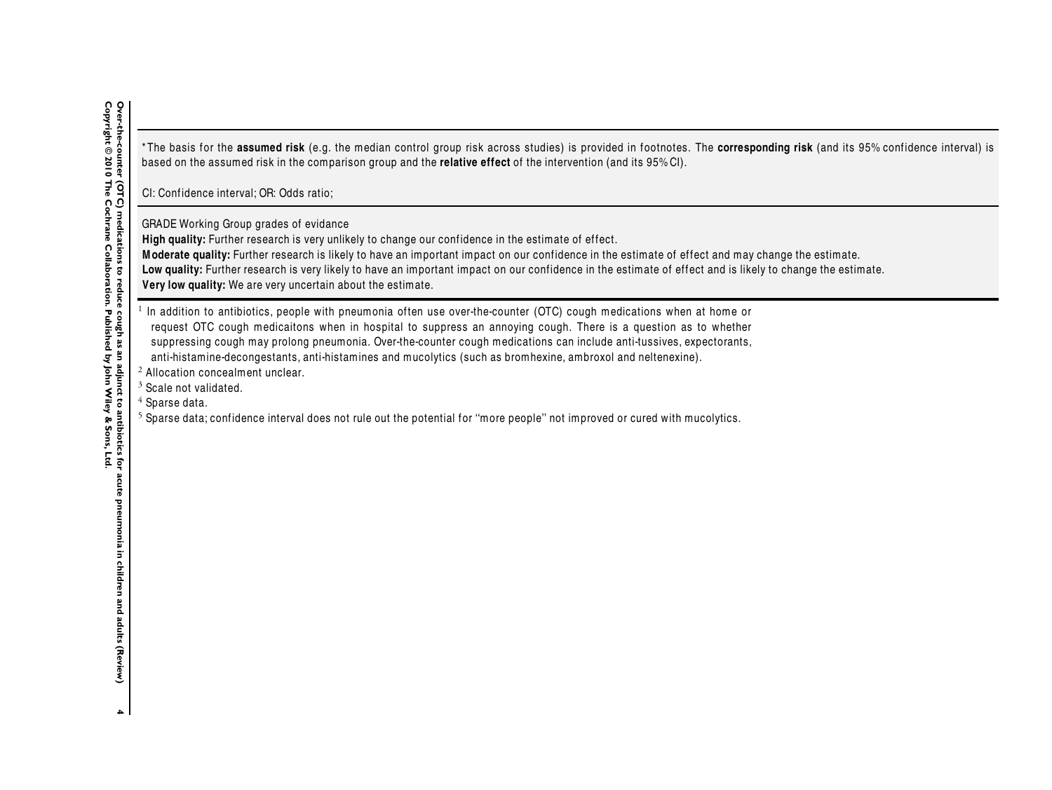\* The basis for the **assumed risk** (e.g. the median control group risk across studies) is provided in footnotes. The **corresponding risk** (and its 95% conf idence interval) is based on the assumed risk in the comparison group and the **relative effect** of the intervention (and its 95% CI).

CI: Confidence interval: OR: Odds ratio:

GRADE Working Group grades of evidance

High quality: Further research is very unlikely to change our confidence in the estimate of effect.

**<sup>M</sup> oderate quality:** Further research is likely to have an important impact on our conf idence in the estimate of effect and may change the estimate.

Low quality: Further research is very likely to have an important impact on our confidence in the estimate of effect and is likely to change the estimate.

**Very low quality:** We are very uncertain about the estimate.

 $^1$  In addition to antibiotics, people with pneumonia often use over-the-counter (OTC) cough medications when at home or request OTC cough medicaitons when in hospital to suppress an annoying cough. There is <sup>a</sup> question as to whether suppressing cough may prolong pneumonia. Over-the-counter cough medications can include anti-tussives, expectorants, anti-histamine-decongestants, anti-histamines and mucolytics (such as bromhexine, ambroxol and neltenexine).

 $2$  Allocation concealment unclear.

 $\frac{3}{4}$  Scale not validated.

 $\frac{4}{5}$  Sparse data.

 $^5$  Sparse data; confidence interval does not rule out the potential for "more people" not improved or cured with mucolytics.

 $\blacktriangle$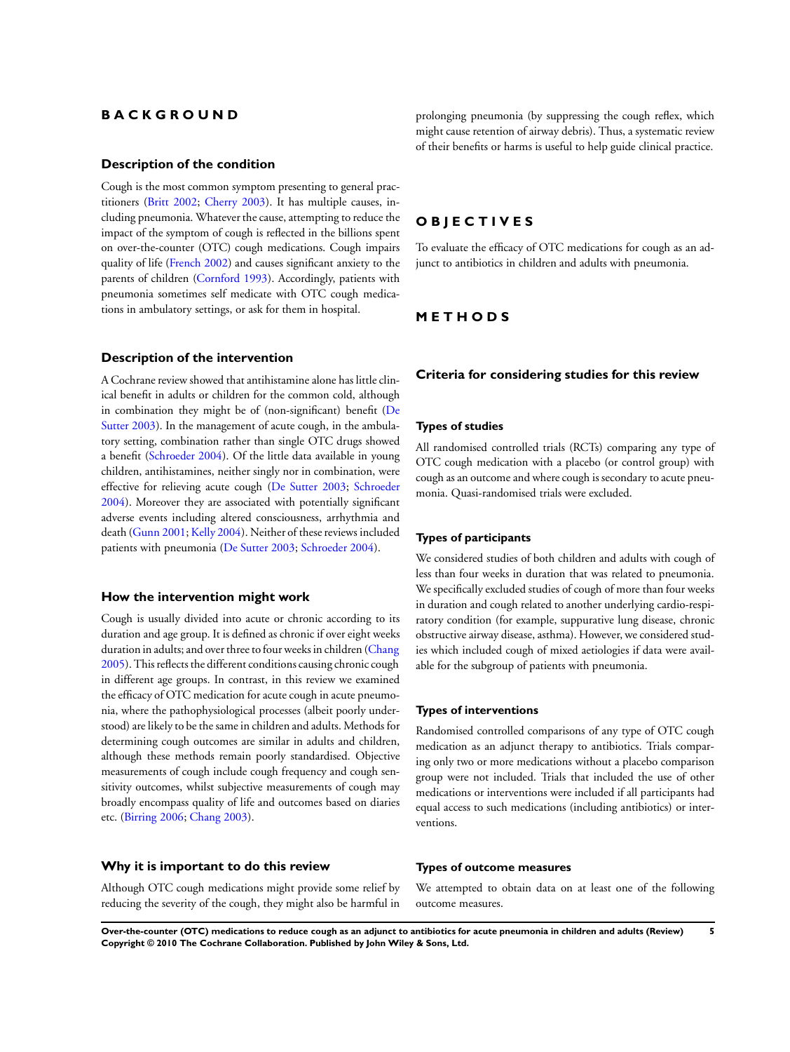# **B A C K G R O U N D**

### **Description of the condition**

Cough is the most common symptom presenting to general practitioners [\(Britt 2002;](#page-13-0) [Cherry 2003](#page-13-0)). It has multiple causes, including pneumonia. Whatever the cause, attempting to reduce the impact of the symptom of cough is reflected in the billions spent on over-the-counter (OTC) cough medications. Cough impairs quality of life ([French 2002\)](#page-13-0) and causes significant anxiety to the parents of children [\(Cornford 1993\)](#page-13-0). Accordingly, patients with pneumonia sometimes self medicate with OTC cough medications in ambulatory settings, or ask for them in hospital.

# **Description of the intervention**

A Cochrane review showed that antihistamine alone has little clinical benefit in adults or children for the common cold, although in combination they might be of (non-significant) benefit ([De](#page-13-0) [Sutter 2003](#page-13-0)). In the management of acute cough, in the ambulatory setting, combination rather than single OTC drugs showed a benefit [\(Schroeder 2004](#page-13-0)). Of the little data available in young children, antihistamines, neither singly nor in combination, were effective for relieving acute cough [\(De Sutter 2003;](#page-13-0) [Schroeder](#page-13-0) [2004](#page-13-0)). Moreover they are associated with potentially significant adverse events including altered consciousness, arrhythmia and death ([Gunn 2001](#page-13-0); [Kelly 2004\)](#page-13-0). Neither of these reviews included patients with pneumonia [\(De Sutter 2003](#page-13-0); [Schroeder 2004\)](#page-13-0).

### **How the intervention might work**

Cough is usually divided into acute or chronic according to its duration and age group. It is defined as chronic if over eight weeks duration in adults; and over three to four weeks in children [\(Chang](#page-13-0) [2005](#page-13-0)). This reflects the different conditions causing chronic cough in different age groups. In contrast, in this review we examined the efficacy of OTC medication for acute cough in acute pneumonia, where the pathophysiological processes (albeit poorly understood) are likely to be the same in children and adults. Methods for determining cough outcomes are similar in adults and children, although these methods remain poorly standardised. Objective measurements of cough include cough frequency and cough sensitivity outcomes, whilst subjective measurements of cough may broadly encompass quality of life and outcomes based on diaries etc. [\(Birring 2006](#page-13-0); [Chang 2003](#page-13-0)).

# **Why it is important to do this review**

Although OTC cough medications might provide some relief by reducing the severity of the cough, they might also be harmful in prolonging pneumonia (by suppressing the cough reflex, which might cause retention of airway debris). Thus, a systematic review of their benefits or harms is useful to help guide clinical practice.

# **O B J E C T I V E S**

To evaluate the efficacy of OTC medications for cough as an adjunct to antibiotics in children and adults with pneumonia.

# **M E T H O D S**

### **Criteria for considering studies for this review**

#### **Types of studies**

All randomised controlled trials (RCTs) comparing any type of OTC cough medication with a placebo (or control group) with cough as an outcome and where cough is secondary to acute pneumonia. Quasi-randomised trials were excluded.

#### **Types of participants**

We considered studies of both children and adults with cough of less than four weeks in duration that was related to pneumonia. We specifically excluded studies of cough of more than four weeks in duration and cough related to another underlying cardio-respiratory condition (for example, suppurative lung disease, chronic obstructive airway disease, asthma). However, we considered studies which included cough of mixed aetiologies if data were available for the subgroup of patients with pneumonia.

#### **Types of interventions**

Randomised controlled comparisons of any type of OTC cough medication as an adjunct therapy to antibiotics. Trials comparing only two or more medications without a placebo comparison group were not included. Trials that included the use of other medications or interventions were included if all participants had equal access to such medications (including antibiotics) or interventions.

#### **Types of outcome measures**

We attempted to obtain data on at least one of the following outcome measures.

**Over-the-counter (OTC) medications to reduce cough as an adjunct to antibiotics for acute pneumonia in children and adults (Review) 5 Copyright © 2010 The Cochrane Collaboration. Published by John Wiley & Sons, Ltd.**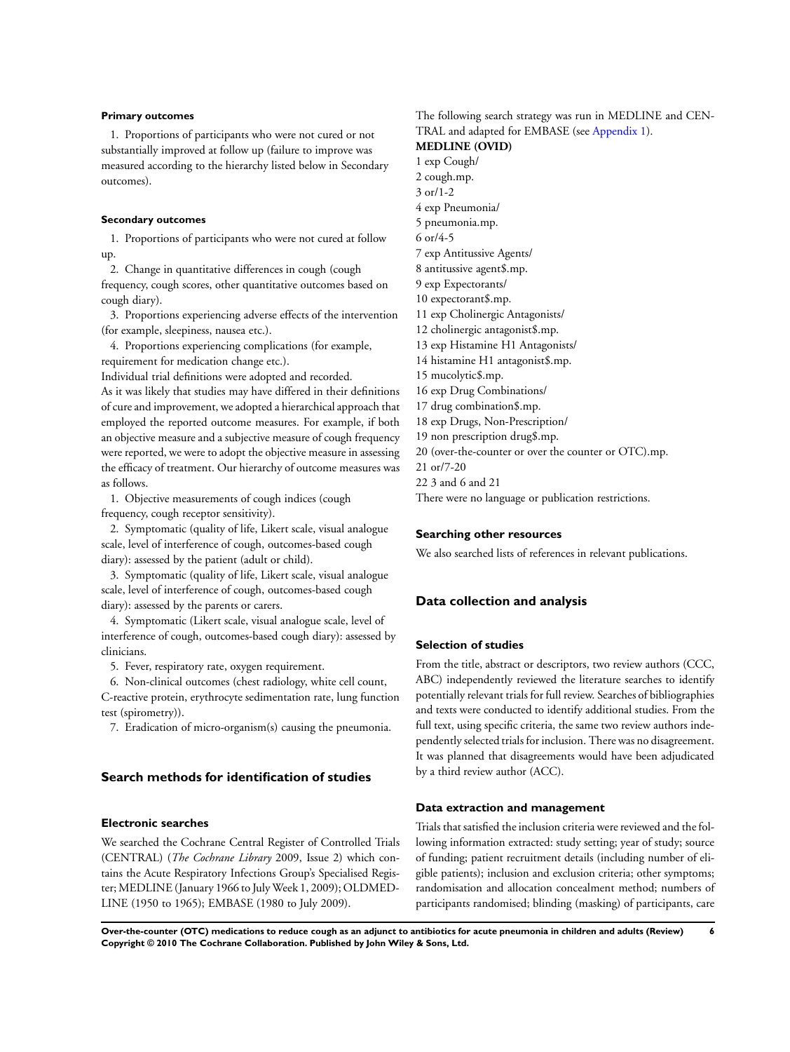#### **Primary outcomes**

1. Proportions of participants who were not cured or not substantially improved at follow up (failure to improve was measured according to the hierarchy listed below in Secondary outcomes).

### **Secondary outcomes**

1. Proportions of participants who were not cured at follow up.

2. Change in quantitative differences in cough (cough frequency, cough scores, other quantitative outcomes based on cough diary).

3. Proportions experiencing adverse effects of the intervention (for example, sleepiness, nausea etc.).

4. Proportions experiencing complications (for example, requirement for medication change etc.).

Individual trial definitions were adopted and recorded.

As it was likely that studies may have differed in their definitions of cure and improvement, we adopted a hierarchical approach that employed the reported outcome measures. For example, if both an objective measure and a subjective measure of cough frequency were reported, we were to adopt the objective measure in assessing the efficacy of treatment. Our hierarchy of outcome measures was as follows.

1. Objective measurements of cough indices (cough frequency, cough receptor sensitivity).

2. Symptomatic (quality of life, Likert scale, visual analogue scale, level of interference of cough, outcomes-based cough diary): assessed by the patient (adult or child).

3. Symptomatic (quality of life, Likert scale, visual analogue scale, level of interference of cough, outcomes-based cough diary): assessed by the parents or carers.

4. Symptomatic (Likert scale, visual analogue scale, level of interference of cough, outcomes-based cough diary): assessed by clinicians.

5. Fever, respiratory rate, oxygen requirement.

6. Non-clinical outcomes (chest radiology, white cell count, C-reactive protein, erythrocyte sedimentation rate, lung function test (spirometry)).

7. Eradication of micro-organism(s) causing the pneumonia.

# **Search methods for identification of studies**

#### **Electronic searches**

We searched the Cochrane Central Register of Controlled Trials (CENTRAL) (*The Cochrane Library* 2009, Issue 2) which contains the Acute Respiratory Infections Group's Specialised Register; MEDLINE (January 1966 to July Week 1, 2009); OLDMED-LINE (1950 to 1965); EMBASE (1980 to July 2009).

The following search strategy was run in MEDLINE and CEN-TRAL and adapted for EMBASE (see [Appendix 1\)](#page-28-0).

# **MEDLINE (OVID)**

1 exp Cough/ 2 cough.mp. 3 or/1-2 4 exp Pneumonia/ 5 pneumonia.mp. 6 or/4-5 7 exp Antitussive Agents/ 8 antitussive agent\$.mp. 9 exp Expectorants/ 10 expectorant\$.mp. 11 exp Cholinergic Antagonists/ 12 cholinergic antagonist\$.mp. 13 exp Histamine H1 Antagonists/ 14 histamine H1 antagonist\$.mp. 15 mucolytic\$.mp. 16 exp Drug Combinations/ 17 drug combination\$.mp. 18 exp Drugs, Non-Prescription/ 19 non prescription drug\$.mp. 20 (over-the-counter or over the counter or OTC).mp. 21 or/7-20 22 3 and 6 and 21 There were no language or publication restrictions.

#### **Searching other resources**

We also searched lists of references in relevant publications.

# **Data collection and analysis**

### **Selection of studies**

From the title, abstract or descriptors, two review authors (CCC, ABC) independently reviewed the literature searches to identify potentially relevant trials for full review. Searches of bibliographies and texts were conducted to identify additional studies. From the full text, using specific criteria, the same two review authors independently selected trials for inclusion. There was no disagreement. It was planned that disagreements would have been adjudicated by a third review author (ACC).

### **Data extraction and management**

Trials that satisfied the inclusion criteria were reviewed and the following information extracted: study setting; year of study; source of funding; patient recruitment details (including number of eligible patients); inclusion and exclusion criteria; other symptoms; randomisation and allocation concealment method; numbers of participants randomised; blinding (masking) of participants, care

**Over-the-counter (OTC) medications to reduce cough as an adjunct to antibiotics for acute pneumonia in children and adults (Review) 6 Copyright © 2010 The Cochrane Collaboration. Published by John Wiley & Sons, Ltd.**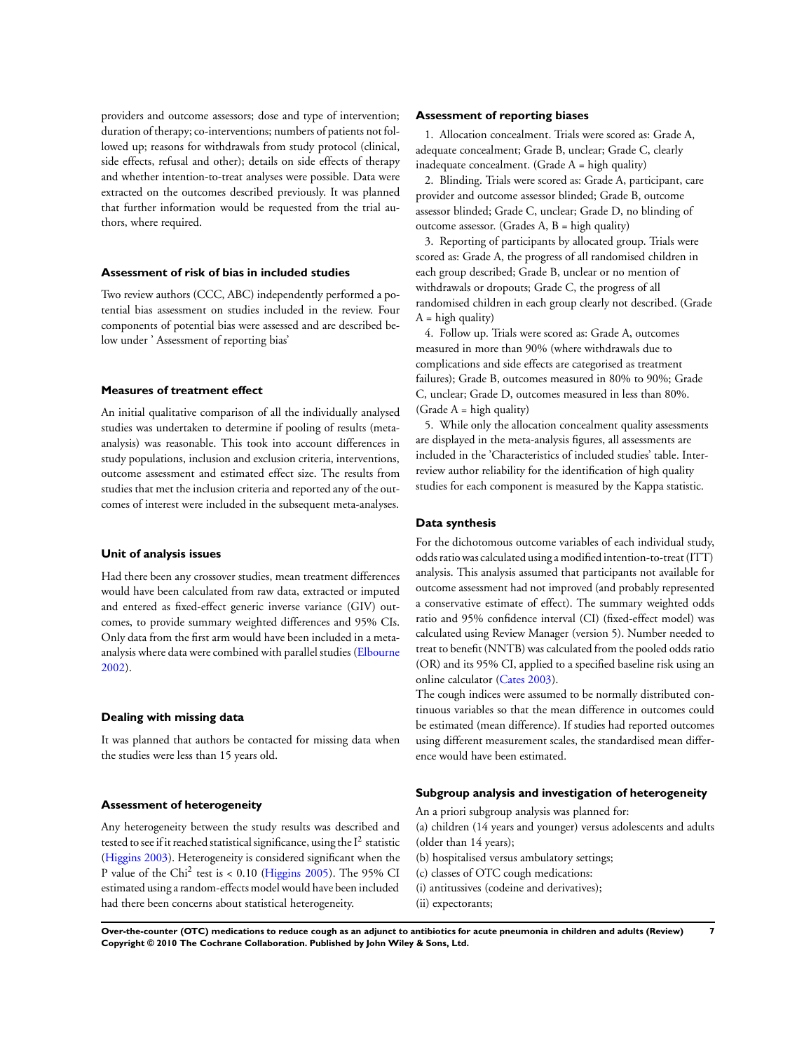providers and outcome assessors; dose and type of intervention; duration of therapy; co-interventions; numbers of patients not followed up; reasons for withdrawals from study protocol (clinical, side effects, refusal and other); details on side effects of therapy and whether intention-to-treat analyses were possible. Data were extracted on the outcomes described previously. It was planned that further information would be requested from the trial authors, where required.

#### **Assessment of risk of bias in included studies**

Two review authors (CCC, ABC) independently performed a potential bias assessment on studies included in the review. Four components of potential bias were assessed and are described below under ' Assessment of reporting bias'

# **Measures of treatment effect**

An initial qualitative comparison of all the individually analysed studies was undertaken to determine if pooling of results (metaanalysis) was reasonable. This took into account differences in study populations, inclusion and exclusion criteria, interventions, outcome assessment and estimated effect size. The results from studies that met the inclusion criteria and reported any of the outcomes of interest were included in the subsequent meta-analyses.

### **Unit of analysis issues**

Had there been any crossover studies, mean treatment differences would have been calculated from raw data, extracted or imputed and entered as fixed-effect generic inverse variance (GIV) outcomes, to provide summary weighted differences and 95% CIs. Only data from the first arm would have been included in a metaanalysis where data were combined with parallel studies [\(Elbourne](#page-13-0) [2002](#page-13-0)).

#### **Dealing with missing data**

It was planned that authors be contacted for missing data when the studies were less than 15 years old.

#### **Assessment of heterogeneity**

Any heterogeneity between the study results was described and tested to see if it reached statistical significance, using the  ${\rm I}^2$  statistic [\(Higgins 2003\)](#page-13-0). Heterogeneity is considered significant when the P value of the Chi<sup>2</sup> test is < 0.10 [\(Higgins 2005\)](#page-13-0). The 95% CI estimated using a random-effects model would have been included had there been concerns about statistical heterogeneity.

### **Assessment of reporting biases**

1. Allocation concealment. Trials were scored as: Grade A, adequate concealment; Grade B, unclear; Grade C, clearly inadequate concealment. (Grade  $A = high$  quality)

2. Blinding. Trials were scored as: Grade A, participant, care provider and outcome assessor blinded; Grade B, outcome assessor blinded; Grade C, unclear; Grade D, no blinding of outcome assessor. (Grades A, B = high quality)

3. Reporting of participants by allocated group. Trials were scored as: Grade A, the progress of all randomised children in each group described; Grade B, unclear or no mention of withdrawals or dropouts; Grade C, the progress of all randomised children in each group clearly not described. (Grade  $A = high$  quality)

4. Follow up. Trials were scored as: Grade A, outcomes measured in more than 90% (where withdrawals due to complications and side effects are categorised as treatment failures); Grade B, outcomes measured in 80% to 90%; Grade C, unclear; Grade D, outcomes measured in less than 80%. (Grade  $A = high$  quality)

5. While only the allocation concealment quality assessments are displayed in the meta-analysis figures, all assessments are included in the 'Characteristics of included studies' table. Interreview author reliability for the identification of high quality studies for each component is measured by the Kappa statistic.

# **Data synthesis**

For the dichotomous outcome variables of each individual study, odds ratio was calculated using a modified intention-to-treat (ITT) analysis. This analysis assumed that participants not available for outcome assessment had not improved (and probably represented a conservative estimate of effect). The summary weighted odds ratio and 95% confidence interval (CI) (fixed-effect model) was calculated using Review Manager (version 5). Number needed to treat to benefit (NNTB) was calculated from the pooled odds ratio (OR) and its 95% CI, applied to a specified baseline risk using an online calculator [\(Cates 2003\)](#page-13-0).

The cough indices were assumed to be normally distributed continuous variables so that the mean difference in outcomes could be estimated (mean difference). If studies had reported outcomes using different measurement scales, the standardised mean difference would have been estimated.

#### **Subgroup analysis and investigation of heterogeneity**

An a priori subgroup analysis was planned for:

- (a) children (14 years and younger) versus adolescents and adults (older than 14 years);
- (b) hospitalised versus ambulatory settings;
- (c) classes of OTC cough medications:
- (i) antitussives (codeine and derivatives);
- (ii) expectorants;

**Over-the-counter (OTC) medications to reduce cough as an adjunct to antibiotics for acute pneumonia in children and adults (Review) 7 Copyright © 2010 The Cochrane Collaboration. Published by John Wiley & Sons, Ltd.**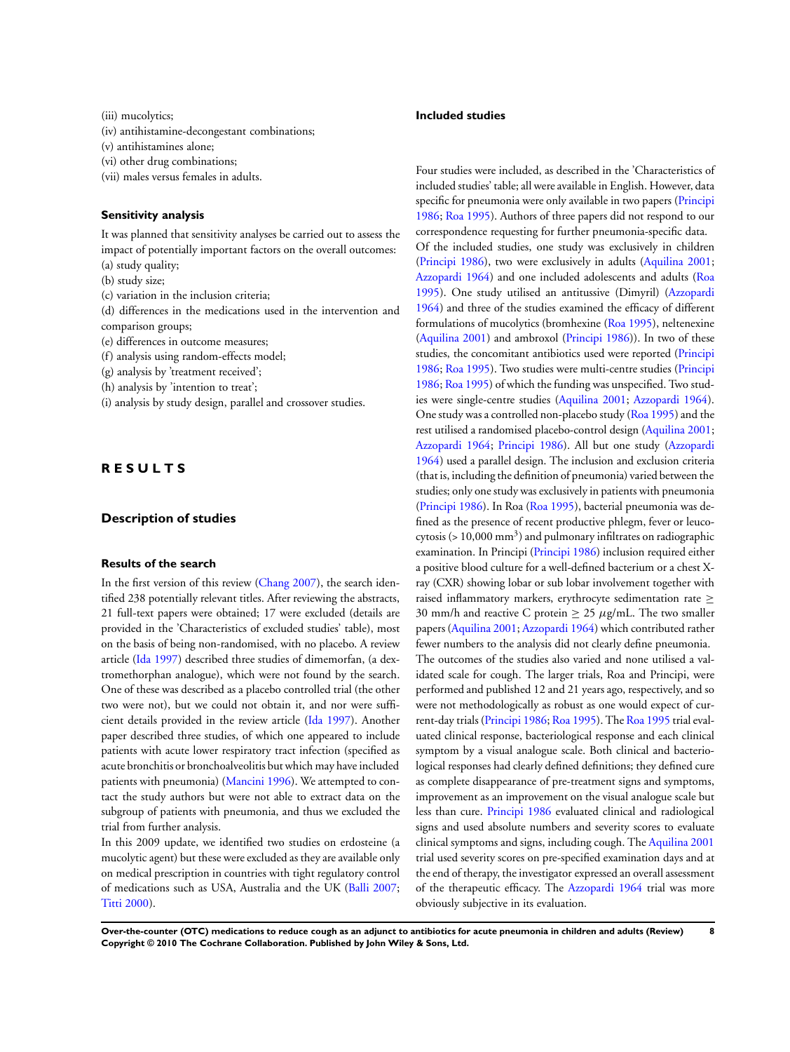(iii) mucolytics;

- (iv) antihistamine-decongestant combinations;
- (v) antihistamines alone;
- (vi) other drug combinations;
- (vii) males versus females in adults.

#### **Sensitivity analysis**

It was planned that sensitivity analyses be carried out to assess the impact of potentially important factors on the overall outcomes:

- (a) study quality;
- (b) study size;
- (c) variation in the inclusion criteria;

(d) differences in the medications used in the intervention and comparison groups;

(e) differences in outcome measures;

(f) analysis using random-effects model;

- (g) analysis by 'treatment received';
- (h) analysis by 'intention to treat';
- (i) analysis by study design, parallel and crossover studies.

# **R E S U L T S**

# **Description of studies**

#### **Results of the search**

In the first version of this review ([Chang 2007](#page-13-0)), the search identified 238 potentially relevant titles. After reviewing the abstracts, 21 full-text papers were obtained; 17 were excluded (details are provided in the 'Characteristics of excluded studies' table), most on the basis of being non-randomised, with no placebo. A review article ([Ida 1997](#page-13-0)) described three studies of dimemorfan, (a dextromethorphan analogue), which were not found by the search. One of these was described as a placebo controlled trial (the other two were not), but we could not obtain it, and nor were sufficient details provided in the review article [\(Ida 1997](#page-13-0)). Another paper described three studies, of which one appeared to include patients with acute lower respiratory tract infection (specified as acute bronchitis or bronchoalveolitis but which may have included patients with pneumonia) ([Mancini 1996](#page-13-0)). We attempted to contact the study authors but were not able to extract data on the subgroup of patients with pneumonia, and thus we excluded the trial from further analysis.

In this 2009 update, we identified two studies on erdosteine (a mucolytic agent) but these were excluded as they are available only on medical prescription in countries with tight regulatory control of medications such as USA, Australia and the UK [\(Balli 2007;](#page-13-0) [Titti 2000](#page-13-0)).

### **Included studies**

Four studies were included, as described in the 'Characteristics of included studies' table; all were available in English. However, data specific for pneumonia were only available in two papers ([Principi](#page-13-0) [1986](#page-13-0); [Roa 1995](#page-13-0)). Authors of three papers did not respond to our correspondence requesting for further pneumonia-specific data. Of the included studies, one study was exclusively in children [\(Principi 1986\)](#page-13-0), two were exclusively in adults ([Aquilina 2001;](#page-13-0) [Azzopardi 1964](#page-13-0)) and one included adolescents and adults ([Roa](#page-13-0) [1995](#page-13-0)). One study utilised an antitussive (Dimyril) ([Azzopardi](#page-13-0) [1964](#page-13-0)) and three of the studies examined the efficacy of different formulations of mucolytics (bromhexine ([Roa 1995](#page-13-0)), neltenexine [\(Aquilina 2001\)](#page-13-0) and ambroxol [\(Principi 1986](#page-13-0))). In two of these studies, the concomitant antibiotics used were reported ([Principi](#page-13-0) [1986](#page-13-0); [Roa 1995](#page-13-0)). Two studies were multi-centre studies ([Principi](#page-13-0) [1986](#page-13-0); [Roa 1995\)](#page-13-0) of which the funding was unspecified. Two studies were single-centre studies ([Aquilina 2001;](#page-13-0) [Azzopardi 1964](#page-13-0)). One study was a controlled non-placebo study ([Roa 1995](#page-13-0)) and the rest utilised a randomised placebo-control design [\(Aquilina 2001;](#page-13-0) [Azzopardi 1964](#page-13-0); [Principi 1986](#page-13-0)). All but one study ([Azzopardi](#page-13-0) [1964](#page-13-0)) used a parallel design. The inclusion and exclusion criteria (that is, including the definition of pneumonia) varied between the studies; only one study was exclusively in patients with pneumonia [\(Principi 1986\)](#page-13-0). In Roa ([Roa 1995\)](#page-13-0), bacterial pneumonia was defined as the presence of recent productive phlegm, fever or leucocytosis (>  $10,000$  mm<sup>3</sup>) and pulmonary infiltrates on radiographic examination. In Principi ([Principi 1986](#page-13-0)) inclusion required either a positive blood culture for a well-defined bacterium or a chest Xray (CXR) showing lobar or sub lobar involvement together with raised inflammatory markers, erythrocyte sedimentation rate  $\geq$ 30 mm/h and reactive C protein  $\geq$  25  $\mu$ g/mL. The two smaller papers ([Aquilina 2001;](#page-13-0) [Azzopardi 1964\)](#page-13-0) which contributed rather fewer numbers to the analysis did not clearly define pneumonia. The outcomes of the studies also varied and none utilised a validated scale for cough. The larger trials, Roa and Principi, were performed and published 12 and 21 years ago, respectively, and so were not methodologically as robust as one would expect of current-day trials [\(Principi 1986](#page-13-0); [Roa 1995](#page-13-0)). The [Roa 1995](#page-13-0) trial evaluated clinical response, bacteriological response and each clinical symptom by a visual analogue scale. Both clinical and bacteriological responses had clearly defined definitions; they defined cure as complete disappearance of pre-treatment signs and symptoms, improvement as an improvement on the visual analogue scale but less than cure. [Principi 1986](#page-13-0) evaluated clinical and radiological signs and used absolute numbers and severity scores to evaluate clinical symptoms and signs, including cough. The [Aquilina 2001](#page-13-0) trial used severity scores on pre-specified examination days and at the end of therapy, the investigator expressed an overall assessment of the therapeutic efficacy. The [Azzopardi 1964](#page-13-0) trial was more obviously subjective in its evaluation.

**Over-the-counter (OTC) medications to reduce cough as an adjunct to antibiotics for acute pneumonia in children and adults (Review) 8 Copyright © 2010 The Cochrane Collaboration. Published by John Wiley & Sons, Ltd.**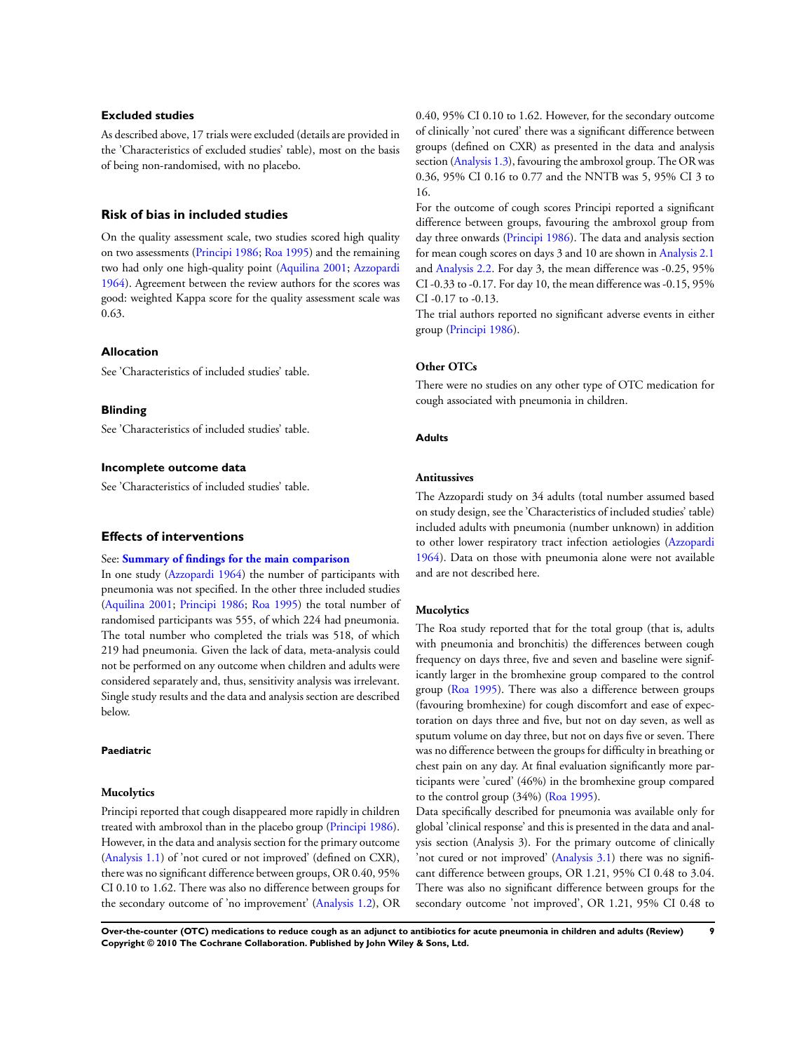### **Excluded studies**

As described above, 17 trials were excluded (details are provided in the 'Characteristics of excluded studies' table), most on the basis of being non-randomised, with no placebo.

# **Risk of bias in included studies**

On the quality assessment scale, two studies scored high quality on two assessments [\(Principi 1986;](#page-13-0) [Roa 1995\)](#page-13-0) and the remaining two had only one high-quality point ([Aquilina 2001](#page-13-0); [Azzopardi](#page-13-0) [1964](#page-13-0)). Agreement between the review authors for the scores was good: weighted Kappa score for the quality assessment scale was 0.63.

## **Allocation**

See 'Characteristics of included studies' table.

#### **Blinding**

See 'Characteristics of included studies' table.

# **Incomplete outcome data**

See 'Characteristics of included studies' table.

### **Effects of interventions**

#### See: **[Summary of findings for the main comparison](#page-5-0)**

In one study ([Azzopardi 1964](#page-13-0)) the number of participants with pneumonia was not specified. In the other three included studies [\(Aquilina 2001](#page-13-0); [Principi 1986](#page-13-0); [Roa 1995\)](#page-13-0) the total number of randomised participants was 555, of which 224 had pneumonia. The total number who completed the trials was 518, of which 219 had pneumonia. Given the lack of data, meta-analysis could not be performed on any outcome when children and adults were considered separately and, thus, sensitivity analysis was irrelevant. Single study results and the data and analysis section are described below.

#### **Paediatric**

#### **Mucolytics**

Principi reported that cough disappeared more rapidly in children treated with ambroxol than in the placebo group ([Principi 1986](#page-13-0)). However, in the data and analysis section for the primary outcome [\(Analysis 1.1](#page-23-0)) of 'not cured or not improved' (defined on CXR), there was no significant difference between groups, OR 0.40, 95% CI 0.10 to 1.62. There was also no difference between groups for the secondary outcome of 'no improvement' [\(Analysis 1.2](#page-23-0)), OR

0.40, 95% CI 0.10 to 1.62. However, for the secondary outcome of clinically 'not cured' there was a significant difference between groups (defined on CXR) as presented in the data and analysis section ([Analysis 1.3\)](#page-24-0), favouring the ambroxol group. The OR was 0.36, 95% CI 0.16 to 0.77 and the NNTB was 5, 95% CI 3 to 16.

For the outcome of cough scores Principi reported a significant difference between groups, favouring the ambroxol group from day three onwards ([Principi 1986](#page-13-0)). The data and analysis section for mean cough scores on days 3 and 10 are shown in [Analysis 2.1](#page-24-0) and [Analysis 2.2](#page-25-0). For day 3, the mean difference was -0.25, 95% CI -0.33 to -0.17. For day 10, the mean difference was -0.15, 95% CI -0.17 to -0.13.

The trial authors reported no significant adverse events in either group ([Principi 1986\)](#page-13-0).

### **Other OTCs**

There were no studies on any other type of OTC medication for cough associated with pneumonia in children.

#### **Adults**

#### **Antitussives**

The Azzopardi study on 34 adults (total number assumed based on study design, see the 'Characteristics of included studies' table) included adults with pneumonia (number unknown) in addition to other lower respiratory tract infection aetiologies ([Azzopardi](#page-13-0) [1964](#page-13-0)). Data on those with pneumonia alone were not available and are not described here.

#### **Mucolytics**

The Roa study reported that for the total group (that is, adults with pneumonia and bronchitis) the differences between cough frequency on days three, five and seven and baseline were significantly larger in the bromhexine group compared to the control group ([Roa 1995\)](#page-13-0). There was also a difference between groups (favouring bromhexine) for cough discomfort and ease of expectoration on days three and five, but not on day seven, as well as sputum volume on day three, but not on days five or seven. There was no difference between the groups for difficulty in breathing or chest pain on any day. At final evaluation significantly more participants were 'cured' (46%) in the bromhexine group compared to the control group (34%) [\(Roa 1995](#page-13-0)).

Data specifically described for pneumonia was available only for global 'clinical response' and this is presented in the data and analysis section (Analysis 3). For the primary outcome of clinically 'not cured or not improved' [\(Analysis 3.1\)](#page-25-0) there was no significant difference between groups, OR 1.21, 95% CI 0.48 to 3.04. There was also no significant difference between groups for the secondary outcome 'not improved', OR 1.21, 95% CI 0.48 to

**Over-the-counter (OTC) medications to reduce cough as an adjunct to antibiotics for acute pneumonia in children and adults (Review) 9 Copyright © 2010 The Cochrane Collaboration. Published by John Wiley & Sons, Ltd.**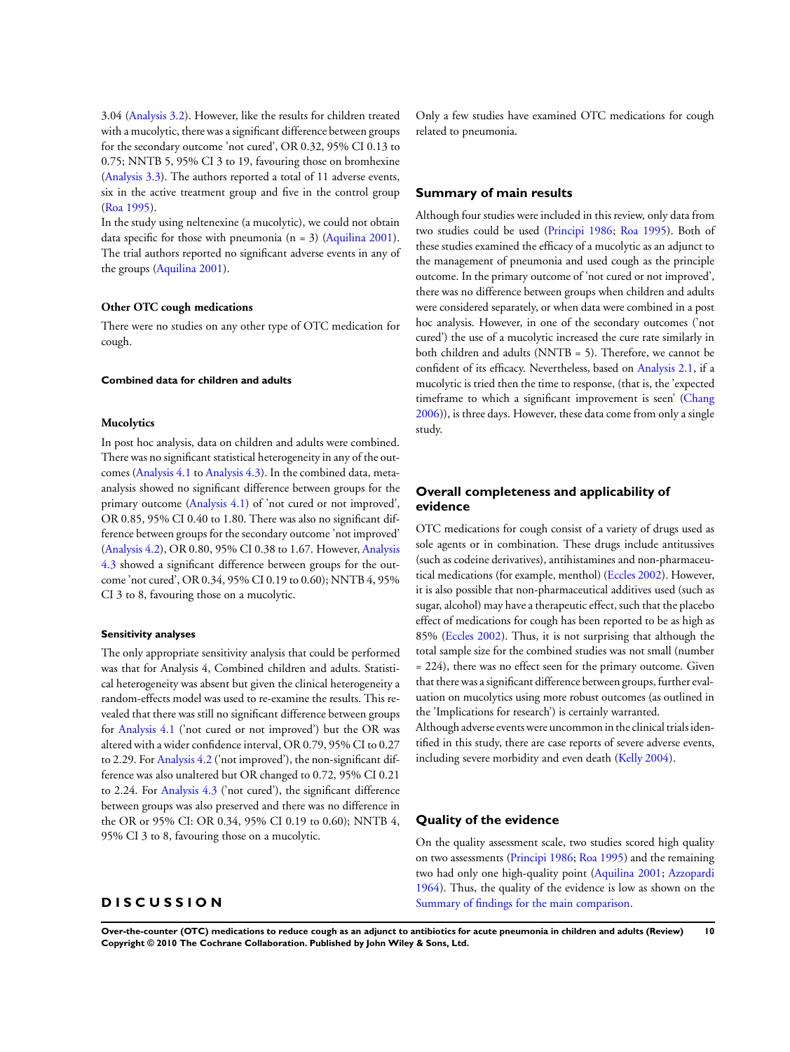3.04 [\(Analysis 3.2](#page-26-0)). However, like the results for children treated with a mucolytic, there was a significant difference between groups for the secondary outcome 'not cured', OR 0.32, 95% CI 0.13 to 0.75; NNTB 5, 95% CI 3 to 19, favouring those on bromhexine [\(Analysis 3.3\)](#page-26-0). The authors reported a total of 11 adverse events, six in the active treatment group and five in the control group [\(Roa 1995](#page-13-0)).

In the study using neltenexine (a mucolytic), we could not obtain data specific for those with pneumonia  $(n = 3)$  ([Aquilina 2001](#page-13-0)). The trial authors reported no significant adverse events in any of the groups ([Aquilina 2001](#page-13-0)).

#### **Other OTC cough medications**

There were no studies on any other type of OTC medication for cough.

#### **Combined data for children and adults**

#### **Mucolytics**

In post hoc analysis, data on children and adults were combined. There was no significant statistical heterogeneity in any of the outcomes [\(Analysis 4.1](#page-27-0) to [Analysis 4.3](#page-27-0)). In the combined data, metaanalysis showed no significant difference between groups for the primary outcome ([Analysis 4.1\)](#page-27-0) of 'not cured or not improved', OR 0.85, 95% CI 0.40 to 1.80. There was also no significant difference between groups for the secondary outcome 'not improved' [\(Analysis 4.2](#page-27-0)), OR 0.80, 95% CI 0.38 to 1.67. However, [Analysis](#page-27-0) [4.3](#page-27-0) showed a significant difference between groups for the outcome 'not cured', OR 0.34, 95% CI 0.19 to 0.60); NNTB 4, 95% CI 3 to 8, favouring those on a mucolytic.

#### **Sensitivity analyses**

The only appropriate sensitivity analysis that could be performed was that for Analysis 4, Combined children and adults. Statistical heterogeneity was absent but given the clinical heterogeneity a random-effects model was used to re-examine the results. This revealed that there was still no significant difference between groups for [Analysis 4.1](#page-27-0) ('not cured or not improved') but the OR was altered with a wider confidence interval, OR 0.79, 95% CI to 0.27 to 2.29. For [Analysis 4.2](#page-27-0) ('not improved'), the non-significant difference was also unaltered but OR changed to 0.72, 95% CI 0.21 to 2.24. For [Analysis 4.3](#page-27-0) ('not cured'), the significant difference between groups was also preserved and there was no difference in the OR or 95% CI: OR 0.34, 95% CI 0.19 to 0.60); NNTB 4, 95% CI 3 to 8, favouring those on a mucolytic.

# **D I S C U S S I O N**

Only a few studies have examined OTC medications for cough related to pneumonia.

### **Summary of main results**

Although four studies were included in this review, only data from two studies could be used ([Principi 1986;](#page-13-0) [Roa 1995](#page-13-0)). Both of these studies examined the efficacy of a mucolytic as an adjunct to the management of pneumonia and used cough as the principle outcome. In the primary outcome of 'not cured or not improved', there was no difference between groups when children and adults were considered separately, or when data were combined in a post hoc analysis. However, in one of the secondary outcomes ('not cured') the use of a mucolytic increased the cure rate similarly in both children and adults (NNTB = 5). Therefore, we cannot be confident of its efficacy. Nevertheless, based on [Analysis 2.1](#page-24-0), if a mucolytic is tried then the time to response, (that is, the 'expected timeframe to which a significant improvement is seen' ([Chang](#page-13-0) [2006](#page-13-0))), is three days. However, these data come from only a single study.

# **Overall completeness and applicability of evidence**

OTC medications for cough consist of a variety of drugs used as sole agents or in combination. These drugs include antitussives (such as codeine derivatives), antihistamines and non-pharmaceutical medications (for example, menthol) [\(Eccles 2002](#page-13-0)). However, it is also possible that non-pharmaceutical additives used (such as sugar, alcohol) may have a therapeutic effect, such that the placebo effect of medications for cough has been reported to be as high as 85% ([Eccles 2002\)](#page-13-0). Thus, it is not surprising that although the total sample size for the combined studies was not small (number = 224), there was no effect seen for the primary outcome. Given that there was a significant difference between groups, further evaluation on mucolytics using more robust outcomes (as outlined in the 'Implications for research') is certainly warranted.

Although adverse events were uncommon in the clinical trials identified in this study, there are case reports of severe adverse events, including severe morbidity and even death ([Kelly 2004\)](#page-13-0).

### **Quality of the evidence**

On the quality assessment scale, two studies scored high quality on two assessments [\(Principi 1986;](#page-13-0) [Roa 1995\)](#page-13-0) and the remaining two had only one high-quality point ([Aquilina 2001](#page-13-0); [Azzopardi](#page-13-0) [1964](#page-13-0)). Thus, the quality of the evidence is low as shown on the [Summary of findings for the main comparison.](#page-5-0)

**Over-the-counter (OTC) medications to reduce cough as an adjunct to antibiotics for acute pneumonia in children and adults (Review) 10 Copyright © 2010 The Cochrane Collaboration. Published by John Wiley & Sons, Ltd.**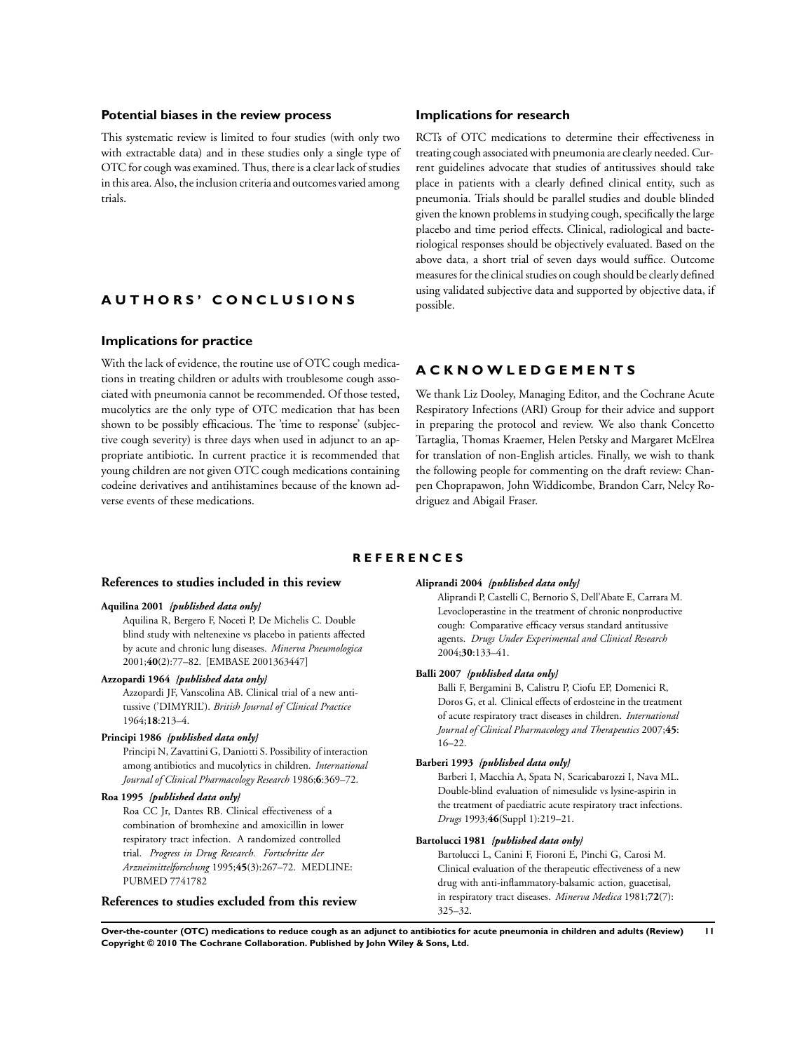# <span id="page-13-0"></span>**Potential biases in the review process**

This systematic review is limited to four studies (with only two with extractable data) and in these studies only a single type of OTC for cough was examined. Thus, there is a clear lack of studies in this area. Also, the inclusion criteria and outcomes varied among trials.

## **Implications for research**

RCTs of OTC medications to determine their effectiveness in treating cough associated with pneumonia are clearly needed. Current guidelines advocate that studies of antitussives should take place in patients with a clearly defined clinical entity, such as pneumonia. Trials should be parallel studies and double blinded given the known problems in studying cough, specifically the large placebo and time period effects. Clinical, radiological and bacteriological responses should be objectively evaluated. Based on the above data, a short trial of seven days would suffice. Outcome measures for the clinical studies on cough should be clearly defined using validated subjective data and supported by objective data, if possible.

# **A U T H O R S ' C O N C L U S I O N S**

### **Implications for practice**

With the lack of evidence, the routine use of OTC cough medications in treating children or adults with troublesome cough associated with pneumonia cannot be recommended. Of those tested, mucolytics are the only type of OTC medication that has been shown to be possibly efficacious. The 'time to response' (subjective cough severity) is three days when used in adjunct to an appropriate antibiotic. In current practice it is recommended that young children are not given OTC cough medications containing codeine derivatives and antihistamines because of the known adverse events of these medications.

# **A C K N O W L E D G E M E N T S**

We thank Liz Dooley, Managing Editor, and the Cochrane Acute Respiratory Infections (ARI) Group for their advice and support in preparing the protocol and review. We also thank Concetto Tartaglia, Thomas Kraemer, Helen Petsky and Margaret McElrea for translation of non-English articles. Finally, we wish to thank the following people for commenting on the draft review: Chanpen Choprapawon, John Widdicombe, Brandon Carr, Nelcy Rodriguez and Abigail Fraser.

### **R E F E R E N C E S**

### **References to studies included in this review**

#### **Aquilina 2001** *{published data only}*

Aquilina R, Bergero F, Noceti P, De Michelis C. Double blind study with neltenexine vs placebo in patients affected by acute and chronic lung diseases. *Minerva Pneumologica* 2001;**40**(2):77–82. [EMBASE 2001363447]

#### **Azzopardi 1964** *{published data only}*

Azzopardi JF, Vanscolina AB. Clinical trial of a new antitussive ('DIMYRIL'). *British Journal of Clinical Practice* 1964;**18**:213–4.

### **Principi 1986** *{published data only}*

Principi N, Zavattini G, Daniotti S. Possibility of interaction among antibiotics and mucolytics in children. *International Journal of Clinical Pharmacology Research* 1986;**6**:369–72.

# **Roa 1995** *{published data only}*

Roa CC Jr, Dantes RB. Clinical effectiveness of a combination of bromhexine and amoxicillin in lower respiratory tract infection. A randomized controlled trial. *Progress in Drug Research. Fortschritte der Arzneimittelforschung* 1995;**45**(3):267–72. MEDLINE: PUBMED 7741782

# **References to studies excluded from this review**

### **Aliprandi 2004** *{published data only}*

Aliprandi P, Castelli C, Bernorio S, Dell'Abate E, Carrara M. Levocloperastine in the treatment of chronic nonproductive cough: Comparative efficacy versus standard antitussive agents. *Drugs Under Experimental and Clinical Research* 2004;**30**:133–41.

#### **Balli 2007** *{published data only}*

Balli F, Bergamini B, Calistru P, Ciofu EP, Domenici R, Doros G, et al. Clinical effects of erdosteine in the treatment of acute respiratory tract diseases in children. *International Journal of Clinical Pharmacology and Therapeutics* 2007;**45**: 16–22.

#### **Barberi 1993** *{published data only}*

Barberi I, Macchia A, Spata N, Scaricabarozzi I, Nava ML. Double-blind evaluation of nimesulide vs lysine-aspirin in the treatment of paediatric acute respiratory tract infections. *Drugs* 1993;**46**(Suppl 1):219–21.

#### **Bartolucci 1981** *{published data only}*

Bartolucci L, Canini F, Fioroni E, Pinchi G, Carosi M. Clinical evaluation of the therapeutic effectiveness of a new drug with anti-inflammatory-balsamic action, guacetisal, in respiratory tract diseases. *Minerva Medica* 1981;**72**(7): 325–32.

**Over-the-counter (OTC) medications to reduce cough as an adjunct to antibiotics for acute pneumonia in children and adults (Review) 11 Copyright © 2010 The Cochrane Collaboration. Published by John Wiley & Sons, Ltd.**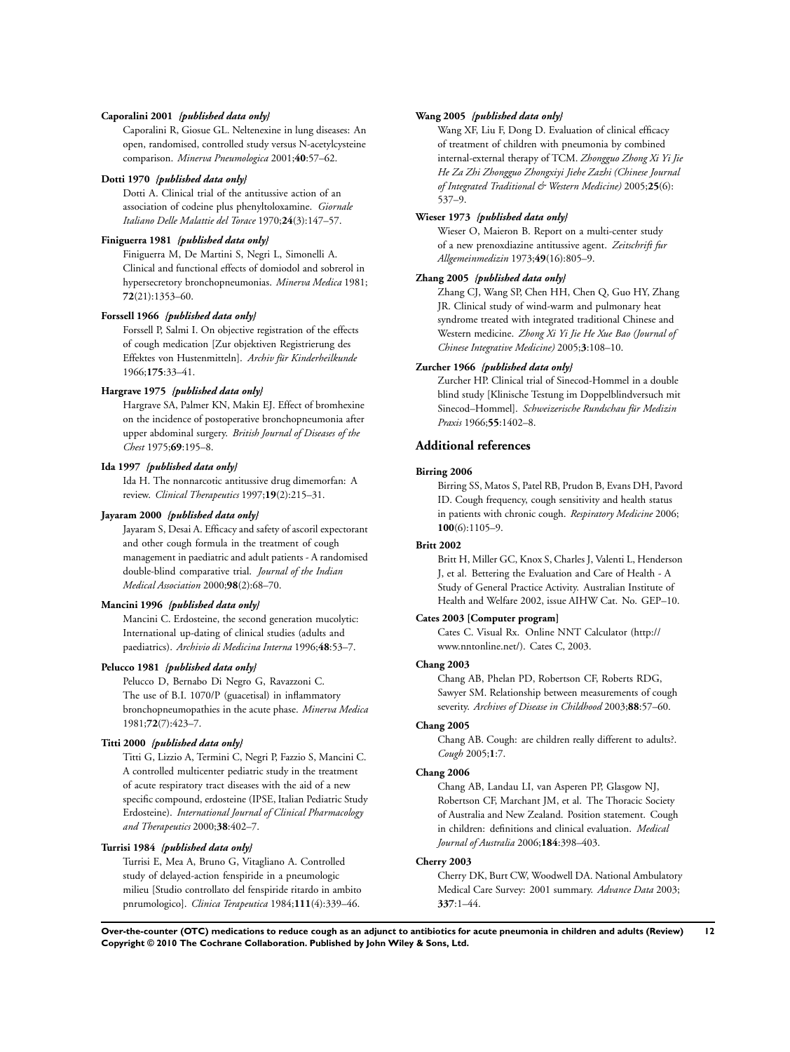### **Caporalini 2001** *{published data only}*

Caporalini R, Giosue GL. Neltenexine in lung diseases: An open, randomised, controlled study versus N-acetylcysteine comparison. *Minerva Pneumologica* 2001;**40**:57–62.

### **Dotti 1970** *{published data only}*

Dotti A. Clinical trial of the antitussive action of an association of codeine plus phenyltoloxamine. *Giornale Italiano Delle Malattie del Torace* 1970;**24**(3):147–57.

### **Finiguerra 1981** *{published data only}*

Finiguerra M, De Martini S, Negri L, Simonelli A. Clinical and functional effects of domiodol and sobrerol in hypersecretory bronchopneumonias. *Minerva Medica* 1981; **72**(21):1353–60.

#### **Forssell 1966** *{published data only}*

Forssell P, Salmi I. On objective registration of the effects of cough medication [Zur objektiven Registrierung des Effektes von Hustenmitteln]. *Archiv für Kinderheilkunde* 1966;**175**:33–41.

#### **Hargrave 1975** *{published data only}*

Hargrave SA, Palmer KN, Makin EJ. Effect of bromhexine on the incidence of postoperative bronchopneumonia after upper abdominal surgery. *British Journal of Diseases of the Chest* 1975;**69**:195–8.

### **Ida 1997** *{published data only}*

Ida H. The nonnarcotic antitussive drug dimemorfan: A review. *Clinical Therapeutics* 1997;**19**(2):215–31.

#### **Jayaram 2000** *{published data only}*

Jayaram S, Desai A. Efficacy and safety of ascoril expectorant and other cough formula in the treatment of cough management in paediatric and adult patients - A randomised double-blind comparative trial. *Journal of the Indian Medical Association* 2000;**98**(2):68–70.

### **Mancini 1996** *{published data only}*

Mancini C. Erdosteine, the second generation mucolytic: International up-dating of clinical studies (adults and paediatrics). *Archivio di Medicina Interna* 1996;**48**:53–7.

#### **Pelucco 1981** *{published data only}*

Pelucco D, Bernabo Di Negro G, Ravazzoni C. The use of B.I. 1070/P (guacetisal) in inflammatory bronchopneumopathies in the acute phase. *Minerva Medica* 1981;**72**(7):423–7.

#### **Titti 2000** *{published data only}*

Titti G, Lizzio A, Termini C, Negri P, Fazzio S, Mancini C. A controlled multicenter pediatric study in the treatment of acute respiratory tract diseases with the aid of a new specific compound, erdosteine (IPSE, Italian Pediatric Study Erdosteine). *International Journal of Clinical Pharmacology and Therapeutics* 2000;**38**:402–7.

# **Turrisi 1984** *{published data only}*

Turrisi E, Mea A, Bruno G, Vitagliano A. Controlled study of delayed-action fenspiride in a pneumologic milieu [Studio controllato del fenspiride ritardo in ambito pnrumologico]. *Clinica Terapeutica* 1984;**111**(4):339–46.

#### **Wang 2005** *{published data only}*

Wang XF, Liu F, Dong D. Evaluation of clinical efficacy of treatment of children with pneumonia by combined internal-external therapy of TCM. *Zhongguo Zhong Xi Yi Jie He Za Zhi Zhongguo Zhongxiyi Jiehe Zazhi (Chinese Journal of Integrated Traditional & Western Medicine)* 2005;**25**(6): 537–9.

### **Wieser 1973** *{published data only}*

Wieser O, Maieron B. Report on a multi-center study of a new prenoxdiazine antitussive agent. *Zeitschrift fur Allgemeinmedizin* 1973;**49**(16):805–9.

## **Zhang 2005** *{published data only}*

Zhang CJ, Wang SP, Chen HH, Chen Q, Guo HY, Zhang JR. Clinical study of wind-warm and pulmonary heat syndrome treated with integrated traditional Chinese and Western medicine. *Zhong Xi Yi Jie He Xue Bao (Journal of Chinese Integrative Medicine)* 2005;**3**:108–10.

# **Zurcher 1966** *{published data only}*

Zurcher HP. Clinical trial of Sinecod-Hommel in a double blind study [Klinische Testung im Doppelblindversuch mit Sinecod–Hommel]. *Schweizerische Rundschau für Medizin Praxis* 1966;**55**:1402–8.

# **Additional references**

#### **Birring 2006**

Birring SS, Matos S, Patel RB, Prudon B, Evans DH, Pavord ID. Cough frequency, cough sensitivity and health status in patients with chronic cough. *Respiratory Medicine* 2006; **100**(6):1105–9.

### **Britt 2002**

Britt H, Miller GC, Knox S, Charles J, Valenti L, Henderson J, et al. Bettering the Evaluation and Care of Health - A Study of General Practice Activity. Australian Institute of Health and Welfare 2002, issue AIHW Cat. No. GEP–10.

# **Cates 2003 [Computer program]**

Cates C. Visual Rx. Online NNT Calculator (http:// www.nntonline.net/). Cates C, 2003.

#### **Chang 2003**

Chang AB, Phelan PD, Robertson CF, Roberts RDG, Sawyer SM. Relationship between measurements of cough severity. *Archives of Disease in Childhood* 2003;**88**:57–60.

### **Chang 2005**

Chang AB. Cough: are children really different to adults?. *Cough* 2005;**1**:7.

# **Chang 2006**

Chang AB, Landau LI, van Asperen PP, Glasgow NJ, Robertson CF, Marchant JM, et al. The Thoracic Society of Australia and New Zealand. Position statement. Cough in children: definitions and clinical evaluation. *Medical Journal of Australia* 2006;**184**:398–403.

### **Cherry 2003**

Cherry DK, Burt CW, Woodwell DA. National Ambulatory Medical Care Survey: 2001 summary. *Advance Data* 2003; **337**:1–44.

**Over-the-counter (OTC) medications to reduce cough as an adjunct to antibiotics for acute pneumonia in children and adults (Review) 12 Copyright © 2010 The Cochrane Collaboration. Published by John Wiley & Sons, Ltd.**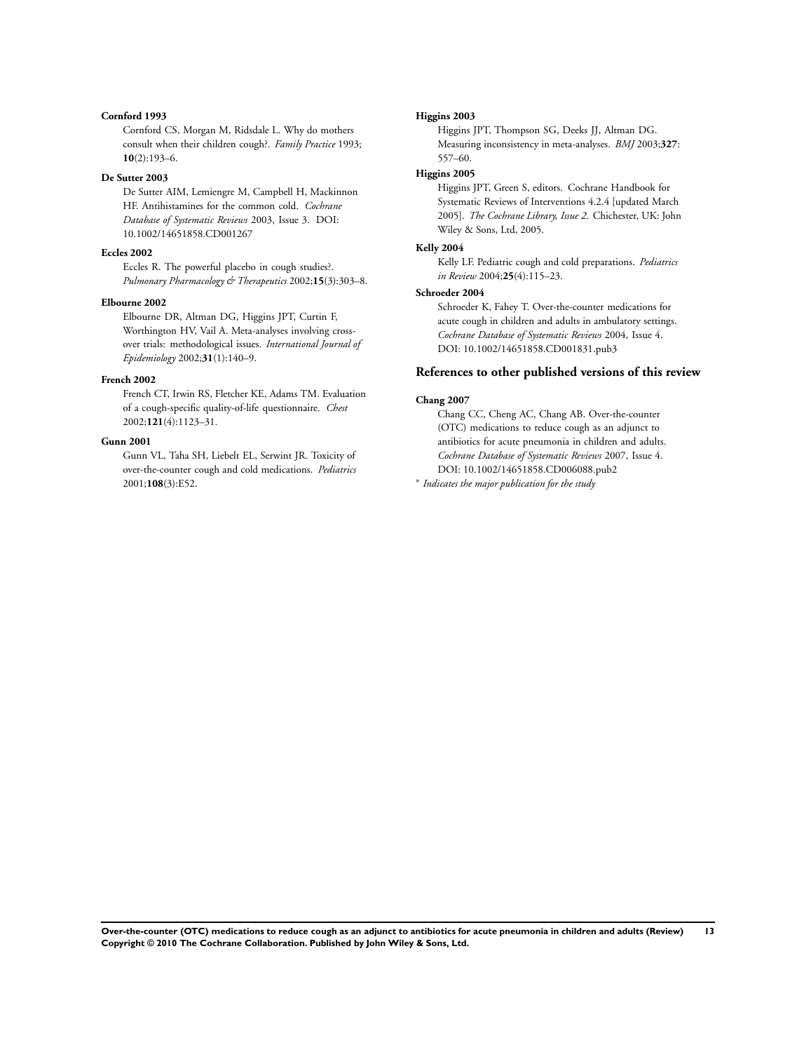# **Cornford 1993**

Cornford CS, Morgan M, Ridsdale L. Why do mothers consult when their children cough?. *Family Practice* 1993; **10**(2):193–6.

#### **De Sutter 2003**

De Sutter AIM, Lemiengre M, Campbell H, Mackinnon HF. Antihistamines for the common cold. *Cochrane Database of Systematic Reviews* 2003, Issue 3. DOI: 10.1002/14651858.CD001267

### **Eccles 2002**

Eccles R. The powerful placebo in cough studies?. *Pulmonary Pharmacology & Therapeutics* 2002;**15**(3):303–8.

#### **Elbourne 2002**

Elbourne DR, Altman DG, Higgins JPT, Curtin F, Worthington HV, Vail A. Meta-analyses involving crossover trials: methodological issues. *International Journal of Epidemiology* 2002;**31**(1):140–9.

# **French 2002**

French CT, Irwin RS, Fletcher KE, Adams TM. Evaluation of a cough-specific quality-of-life questionnaire. *Chest* 2002;**121**(4):1123–31.

### **Gunn 2001**

Gunn VL, Taha SH, Liebelt EL, Serwint JR. Toxicity of over-the-counter cough and cold medications. *Pediatrics* 2001;**108**(3):E52.

#### **Higgins 2003**

Higgins JPT, Thompson SG, Deeks JJ, Altman DG. Measuring inconsistency in meta-analyses. *BMJ* 2003;**327**: 557–60.

# **Higgins 2005**

Higgins JPT, Green S, editors. Cochrane Handbook for Systematic Reviews of Interventions 4.2.4 [updated March 2005]. *The Cochrane Library, Issue 2*. Chichester, UK: John Wiley & Sons, Ltd, 2005.

#### **Kelly 2004**

Kelly LF. Pediatric cough and cold preparations. *Pediatrics in Review* 2004;**25**(4):115–23.

#### **Schroeder 2004**

Schroeder K, Fahey T. Over-the-counter medications for acute cough in children and adults in ambulatory settings. *Cochrane Database of Systematic Reviews* 2004, Issue 4. DOI: 10.1002/14651858.CD001831.pub3

# **References to other published versions of this review**

### **Chang 2007**

Chang CC, Cheng AC, Chang AB. Over-the-counter (OTC) medications to reduce cough as an adjunct to antibiotics for acute pneumonia in children and adults. *Cochrane Database of Systematic Reviews* 2007, Issue 4. DOI: 10.1002/14651858.CD006088.pub2

∗ *Indicates the major publication for the study*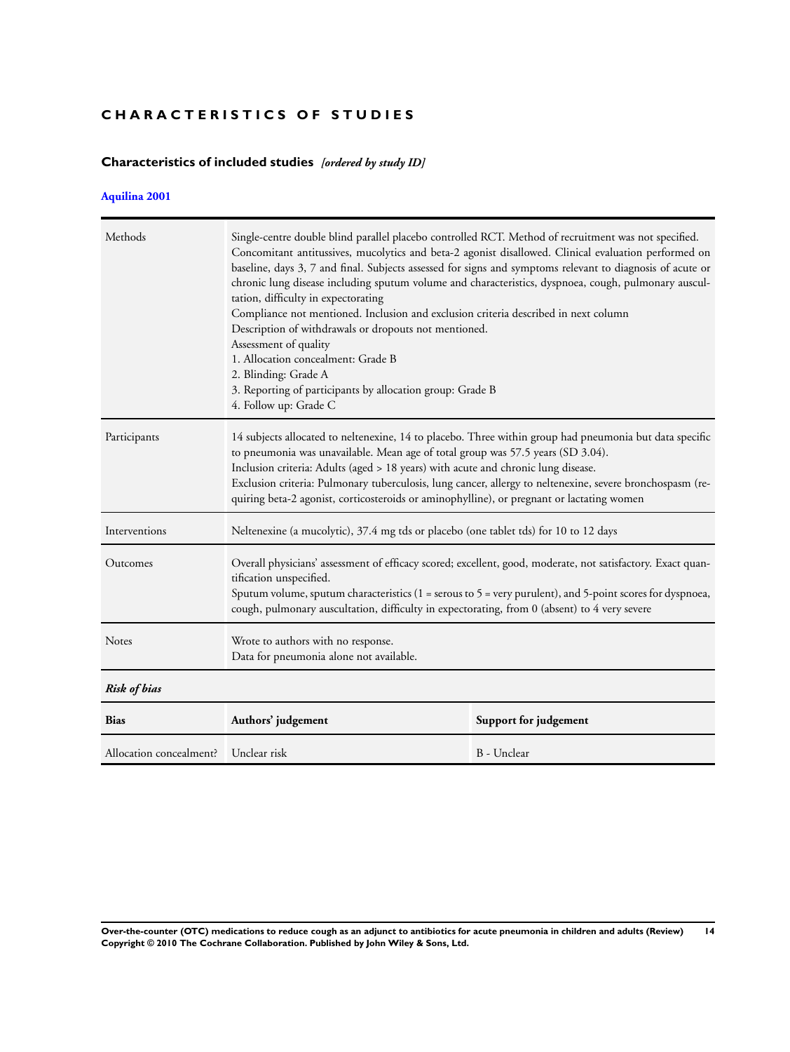# **CHARACTERISTICS OF STUDIES**

# **Characteristics of included studies** *[ordered by study ID]*

# **[Aquilina 2001](#page-13-0)**

| Methods                              | Single-centre double blind parallel placebo controlled RCT. Method of recruitment was not specified.<br>Concomitant antitussives, mucolytics and beta-2 agonist disallowed. Clinical evaluation performed on<br>baseline, days 3, 7 and final. Subjects assessed for signs and symptoms relevant to diagnosis of acute or<br>chronic lung disease including sputum volume and characteristics, dyspnoea, cough, pulmonary auscul-<br>tation, difficulty in expectorating<br>Compliance not mentioned. Inclusion and exclusion criteria described in next column<br>Description of withdrawals or dropouts not mentioned.<br>Assessment of quality<br>1. Allocation concealment: Grade B<br>2. Blinding: Grade A<br>3. Reporting of participants by allocation group: Grade B<br>4. Follow up: Grade C |  |  |  |  |
|--------------------------------------|-------------------------------------------------------------------------------------------------------------------------------------------------------------------------------------------------------------------------------------------------------------------------------------------------------------------------------------------------------------------------------------------------------------------------------------------------------------------------------------------------------------------------------------------------------------------------------------------------------------------------------------------------------------------------------------------------------------------------------------------------------------------------------------------------------|--|--|--|--|
| Participants                         | 14 subjects allocated to neltenexine, 14 to placebo. Three within group had pneumonia but data specific<br>to pneumonia was unavailable. Mean age of total group was 57.5 years (SD 3.04).<br>Inclusion criteria: Adults (aged > 18 years) with acute and chronic lung disease.<br>Exclusion criteria: Pulmonary tuberculosis, lung cancer, allergy to neltenexine, severe bronchospasm (re-<br>quiring beta-2 agonist, corticosteroids or aminophylline), or pregnant or lactating women                                                                                                                                                                                                                                                                                                             |  |  |  |  |
| Interventions                        | Neltenexine (a mucolytic), 37.4 mg tds or placebo (one tablet tds) for 10 to 12 days                                                                                                                                                                                                                                                                                                                                                                                                                                                                                                                                                                                                                                                                                                                  |  |  |  |  |
| Outcomes                             | Overall physicians' assessment of efficacy scored; excellent, good, moderate, not satisfactory. Exact quan-<br>tification unspecified.<br>Sputum volume, sputum characteristics (1 = serous to 5 = very purulent), and 5-point scores for dyspnoea,<br>cough, pulmonary auscultation, difficulty in expectorating, from 0 (absent) to 4 very severe                                                                                                                                                                                                                                                                                                                                                                                                                                                   |  |  |  |  |
| Notes                                | Wrote to authors with no response.<br>Data for pneumonia alone not available.                                                                                                                                                                                                                                                                                                                                                                                                                                                                                                                                                                                                                                                                                                                         |  |  |  |  |
| <b>Risk of bias</b>                  |                                                                                                                                                                                                                                                                                                                                                                                                                                                                                                                                                                                                                                                                                                                                                                                                       |  |  |  |  |
| <b>Bias</b>                          | Authors' judgement<br>Support for judgement                                                                                                                                                                                                                                                                                                                                                                                                                                                                                                                                                                                                                                                                                                                                                           |  |  |  |  |
| Allocation concealment? Unclear risk | B - Unclear                                                                                                                                                                                                                                                                                                                                                                                                                                                                                                                                                                                                                                                                                                                                                                                           |  |  |  |  |

**Over-the-counter (OTC) medications to reduce cough as an adjunct to antibiotics for acute pneumonia in children and adults (Review) 14 Copyright © 2010 The Cochrane Collaboration. Published by John Wiley & Sons, Ltd.**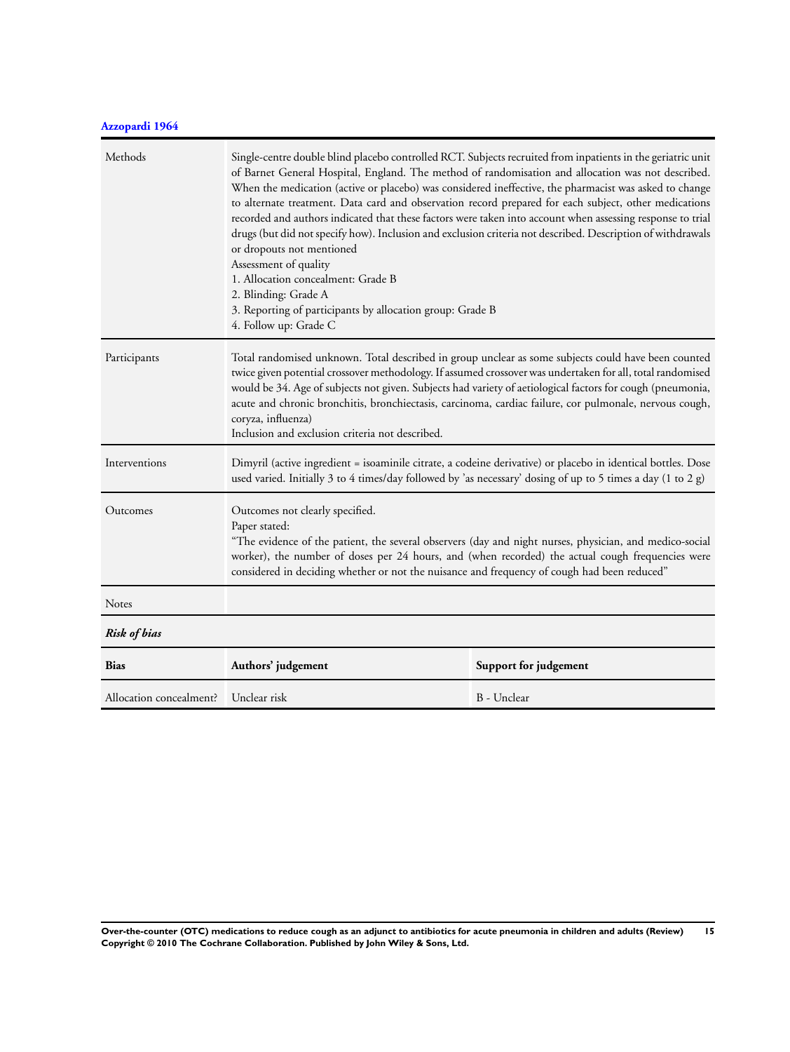# **[Azzopardi 1964](#page-13-0)**

| Methods                 | Single-centre double blind placebo controlled RCT. Subjects recruited from inpatients in the geriatric unit<br>of Barnet General Hospital, England. The method of randomisation and allocation was not described.<br>When the medication (active or placebo) was considered ineffective, the pharmacist was asked to change<br>to alternate treatment. Data card and observation record prepared for each subject, other medications<br>recorded and authors indicated that these factors were taken into account when assessing response to trial<br>drugs (but did not specify how). Inclusion and exclusion criteria not described. Description of withdrawals<br>or dropouts not mentioned<br>Assessment of quality<br>1. Allocation concealment: Grade B<br>2. Blinding: Grade A<br>3. Reporting of participants by allocation group: Grade B<br>4. Follow up: Grade C |  |  |  |  |
|-------------------------|-----------------------------------------------------------------------------------------------------------------------------------------------------------------------------------------------------------------------------------------------------------------------------------------------------------------------------------------------------------------------------------------------------------------------------------------------------------------------------------------------------------------------------------------------------------------------------------------------------------------------------------------------------------------------------------------------------------------------------------------------------------------------------------------------------------------------------------------------------------------------------|--|--|--|--|
| Participants            | Total randomised unknown. Total described in group unclear as some subjects could have been counted<br>twice given potential crossover methodology. If assumed crossover was undertaken for all, total randomised<br>would be 34. Age of subjects not given. Subjects had variety of aetiological factors for cough (pneumonia,<br>acute and chronic bronchitis, bronchiectasis, carcinoma, cardiac failure, cor pulmonale, nervous cough,<br>coryza, influenza)<br>Inclusion and exclusion criteria not described.                                                                                                                                                                                                                                                                                                                                                         |  |  |  |  |
| Interventions           | Dimyril (active ingredient = isoaminile citrate, a codeine derivative) or placebo in identical bottles. Dose<br>used varied. Initially 3 to 4 times/day followed by 'as necessary' dosing of up to 5 times a day (1 to 2 g)                                                                                                                                                                                                                                                                                                                                                                                                                                                                                                                                                                                                                                                 |  |  |  |  |
| Outcomes                | Outcomes not clearly specified.<br>Paper stated:<br>"The evidence of the patient, the several observers (day and night nurses, physician, and medico-social<br>worker), the number of doses per 24 hours, and (when recorded) the actual cough frequencies were<br>considered in deciding whether or not the nuisance and frequency of cough had been reduced"                                                                                                                                                                                                                                                                                                                                                                                                                                                                                                              |  |  |  |  |
| Notes                   |                                                                                                                                                                                                                                                                                                                                                                                                                                                                                                                                                                                                                                                                                                                                                                                                                                                                             |  |  |  |  |
| <b>Risk of bias</b>     |                                                                                                                                                                                                                                                                                                                                                                                                                                                                                                                                                                                                                                                                                                                                                                                                                                                                             |  |  |  |  |
| <b>Bias</b>             | Authors' judgement<br>Support for judgement                                                                                                                                                                                                                                                                                                                                                                                                                                                                                                                                                                                                                                                                                                                                                                                                                                 |  |  |  |  |
| Allocation concealment? | Unclear risk<br>B - Unclear                                                                                                                                                                                                                                                                                                                                                                                                                                                                                                                                                                                                                                                                                                                                                                                                                                                 |  |  |  |  |

**Over-the-counter (OTC) medications to reduce cough as an adjunct to antibiotics for acute pneumonia in children and adults (Review) 15 Copyright © 2010 The Cochrane Collaboration. Published by John Wiley & Sons, Ltd.**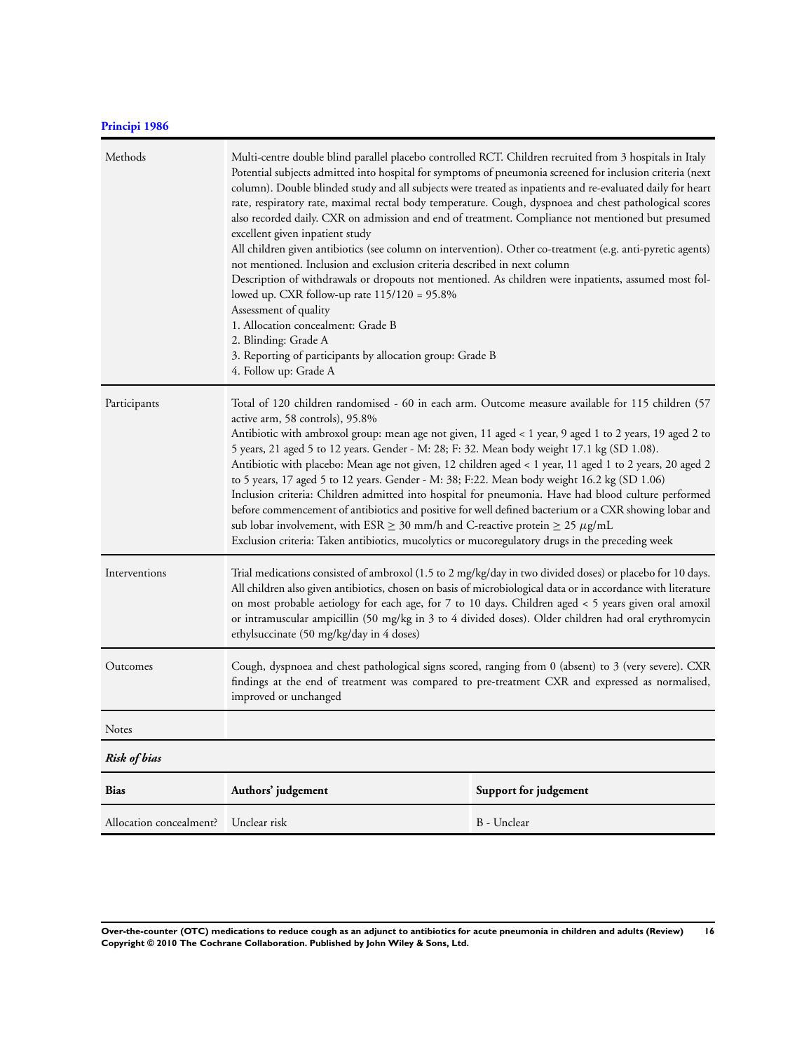# **[Principi 1986](#page-13-0)**

| Methods                 | Multi-centre double blind parallel placebo controlled RCT. Children recruited from 3 hospitals in Italy<br>Potential subjects admitted into hospital for symptoms of pneumonia screened for inclusion criteria (next<br>column). Double blinded study and all subjects were treated as inpatients and re-evaluated daily for heart<br>rate, respiratory rate, maximal rectal body temperature. Cough, dyspnoea and chest pathological scores<br>also recorded daily. CXR on admission and end of treatment. Compliance not mentioned but presumed<br>excellent given inpatient study<br>All children given antibiotics (see column on intervention). Other co-treatment (e.g. anti-pyretic agents)<br>not mentioned. Inclusion and exclusion criteria described in next column<br>Description of withdrawals or dropouts not mentioned. As children were inpatients, assumed most fol-<br>lowed up. CXR follow-up rate 115/120 = 95.8%<br>Assessment of quality<br>1. Allocation concealment: Grade B<br>2. Blinding: Grade A<br>3. Reporting of participants by allocation group: Grade B<br>4. Follow up: Grade A |  |  |  |  |
|-------------------------|---------------------------------------------------------------------------------------------------------------------------------------------------------------------------------------------------------------------------------------------------------------------------------------------------------------------------------------------------------------------------------------------------------------------------------------------------------------------------------------------------------------------------------------------------------------------------------------------------------------------------------------------------------------------------------------------------------------------------------------------------------------------------------------------------------------------------------------------------------------------------------------------------------------------------------------------------------------------------------------------------------------------------------------------------------------------------------------------------------------------|--|--|--|--|
| Participants            | Total of 120 children randomised - 60 in each arm. Outcome measure available for 115 children (57<br>active arm, 58 controls), 95.8%<br>Antibiotic with ambroxol group: mean age not given, 11 aged < 1 year, 9 aged 1 to 2 years, 19 aged 2 to<br>5 years, 21 aged 5 to 12 years. Gender - M: 28; F: 32. Mean body weight 17.1 kg (SD 1.08).<br>Antibiotic with placebo: Mean age not given, 12 children aged < 1 year, 11 aged 1 to 2 years, 20 aged 2<br>to 5 years, 17 aged 5 to 12 years. Gender - M: 38; F:22. Mean body weight 16.2 kg (SD 1.06)<br>Inclusion criteria: Children admitted into hospital for pneumonia. Have had blood culture performed<br>before commencement of antibiotics and positive for well defined bacterium or a CXR showing lobar and<br>sub lobar involvement, with ESR $\geq$ 30 mm/h and C-reactive protein $\geq$ 25 $\mu$ g/mL<br>Exclusion criteria: Taken antibiotics, mucolytics or mucoregulatory drugs in the preceding week                                                                                                                                            |  |  |  |  |
| Interventions           | Trial medications consisted of ambroxol (1.5 to 2 mg/kg/day in two divided doses) or placebo for 10 days.<br>All children also given antibiotics, chosen on basis of microbiological data or in accordance with literature<br>on most probable aetiology for each age, for 7 to 10 days. Children aged < 5 years given oral amoxil<br>or intramuscular ampicillin (50 mg/kg in 3 to 4 divided doses). Older children had oral erythromycin<br>ethylsuccinate (50 mg/kg/day in 4 doses)                                                                                                                                                                                                                                                                                                                                                                                                                                                                                                                                                                                                                              |  |  |  |  |
| Outcomes                | Cough, dyspnoea and chest pathological signs scored, ranging from 0 (absent) to 3 (very severe). CXR<br>findings at the end of treatment was compared to pre-treatment CXR and expressed as normalised,<br>improved or unchanged                                                                                                                                                                                                                                                                                                                                                                                                                                                                                                                                                                                                                                                                                                                                                                                                                                                                                    |  |  |  |  |
| Notes                   |                                                                                                                                                                                                                                                                                                                                                                                                                                                                                                                                                                                                                                                                                                                                                                                                                                                                                                                                                                                                                                                                                                                     |  |  |  |  |
| <b>Risk of bias</b>     |                                                                                                                                                                                                                                                                                                                                                                                                                                                                                                                                                                                                                                                                                                                                                                                                                                                                                                                                                                                                                                                                                                                     |  |  |  |  |
| <b>Bias</b>             | Authors' judgement<br>Support for judgement                                                                                                                                                                                                                                                                                                                                                                                                                                                                                                                                                                                                                                                                                                                                                                                                                                                                                                                                                                                                                                                                         |  |  |  |  |
| Allocation concealment? | Unclear risk<br>B - Unclear                                                                                                                                                                                                                                                                                                                                                                                                                                                                                                                                                                                                                                                                                                                                                                                                                                                                                                                                                                                                                                                                                         |  |  |  |  |

**Over-the-counter (OTC) medications to reduce cough as an adjunct to antibiotics for acute pneumonia in children and adults (Review) 16 Copyright © 2010 The Cochrane Collaboration. Published by John Wiley & Sons, Ltd.**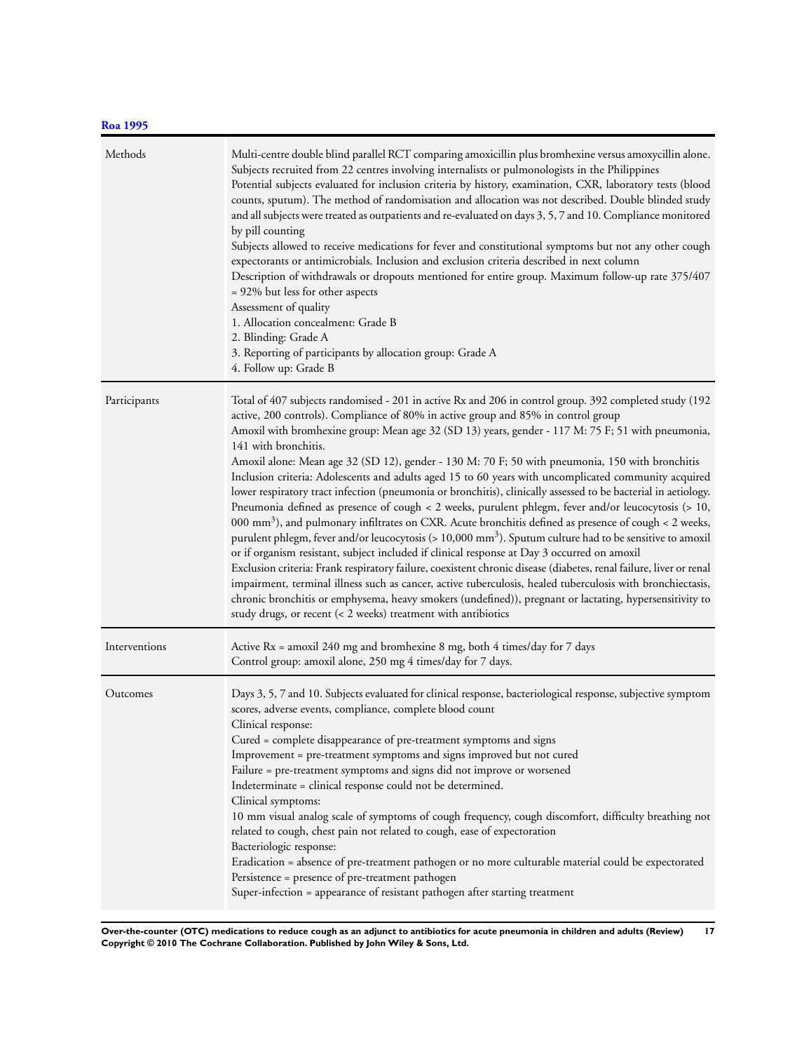# **[Roa 1995](#page-13-0)**

| Methods       | Multi-centre double blind parallel RCT comparing amoxicillin plus bromhexine versus amoxycillin alone.<br>Subjects recruited from 22 centres involving internalists or pulmonologists in the Philippines<br>Potential subjects evaluated for inclusion criteria by history, examination, CXR, laboratory tests (blood<br>counts, sputum). The method of randomisation and allocation was not described. Double blinded study<br>and all subjects were treated as outpatients and re-evaluated on days 3, 5, 7 and 10. Compliance monitored<br>by pill counting<br>Subjects allowed to receive medications for fever and constitutional symptoms but not any other cough<br>expectorants or antimicrobials. Inclusion and exclusion criteria described in next column<br>Description of withdrawals or dropouts mentioned for entire group. Maximum follow-up rate 375/407<br>= 92% but less for other aspects<br>Assessment of quality<br>1. Allocation concealment: Grade B<br>2. Blinding: Grade A<br>3. Reporting of participants by allocation group: Grade A<br>4. Follow up: Grade B                                                                                                                                                                                                                                                                                                                                                                                                                               |
|---------------|--------------------------------------------------------------------------------------------------------------------------------------------------------------------------------------------------------------------------------------------------------------------------------------------------------------------------------------------------------------------------------------------------------------------------------------------------------------------------------------------------------------------------------------------------------------------------------------------------------------------------------------------------------------------------------------------------------------------------------------------------------------------------------------------------------------------------------------------------------------------------------------------------------------------------------------------------------------------------------------------------------------------------------------------------------------------------------------------------------------------------------------------------------------------------------------------------------------------------------------------------------------------------------------------------------------------------------------------------------------------------------------------------------------------------------------------------------------------------------------------------------------------------|
| Participants  | Total of 407 subjects randomised - 201 in active Rx and 206 in control group. 392 completed study (192<br>active, 200 controls). Compliance of 80% in active group and 85% in control group<br>Amoxil with bromhexine group: Mean age 32 (SD 13) years, gender - 117 M: 75 F; 51 with pneumonia,<br>141 with bronchitis.<br>Amoxil alone: Mean age 32 (SD 12), gender - 130 M: 70 F; 50 with pneumonia, 150 with bronchitis<br>Inclusion criteria: Adolescents and adults aged 15 to 60 years with uncomplicated community acquired<br>lower respiratory tract infection (pneumonia or bronchitis), clinically assessed to be bacterial in aetiology.<br>Pneumonia defined as presence of cough < 2 weeks, purulent phlegm, fever and/or leucocytosis (> 10,<br>000 mm <sup>3</sup> ), and pulmonary infiltrates on CXR. Acute bronchitis defined as presence of cough < 2 weeks,<br>purulent phlegm, fever and/or leucocytosis (> 10,000 mm <sup>3</sup> ). Sputum culture had to be sensitive to amoxil<br>or if organism resistant, subject included if clinical response at Day 3 occurred on amoxil<br>Exclusion criteria: Frank respiratory failure, coexistent chronic disease (diabetes, renal failure, liver or renal<br>impairment, terminal illness such as cancer, active tuberculosis, healed tuberculosis with bronchiectasis,<br>chronic bronchitis or emphysema, heavy smokers (undefined)), pregnant or lactating, hypersensitivity to<br>study drugs, or recent (< 2 weeks) treatment with antibiotics |
| Interventions | Active Rx = amoxil 240 mg and bromhexine 8 mg, both 4 times/day for 7 days<br>Control group: amoxil alone, 250 mg 4 times/day for 7 days.                                                                                                                                                                                                                                                                                                                                                                                                                                                                                                                                                                                                                                                                                                                                                                                                                                                                                                                                                                                                                                                                                                                                                                                                                                                                                                                                                                                |
| Outcomes      | Days 3, 5, 7 and 10. Subjects evaluated for clinical response, bacteriological response, subjective symptom<br>scores, adverse events, compliance, complete blood count<br>Clinical response:<br>Cured = complete disappearance of pre-treatment symptoms and signs<br>Improvement = pre-treatment symptoms and signs improved but not cured<br>Failure = pre-treatment symptoms and signs did not improve or worsened<br>Indeterminate = clinical response could not be determined.<br>Clinical symptoms:<br>10 mm visual analog scale of symptoms of cough frequency, cough discomfort, difficulty breathing not<br>related to cough, chest pain not related to cough, ease of expectoration<br>Bacteriologic response:<br>Eradication = absence of pre-treatment pathogen or no more culturable material could be expectorated<br>Persistence = presence of pre-treatment pathogen<br>Super-infection = appearance of resistant pathogen after starting treatment                                                                                                                                                                                                                                                                                                                                                                                                                                                                                                                                                     |

**Over-the-counter (OTC) medications to reduce cough as an adjunct to antibiotics for acute pneumonia in children and adults (Review) 17 Copyright © 2010 The Cochrane Collaboration. Published by John Wiley & Sons, Ltd.**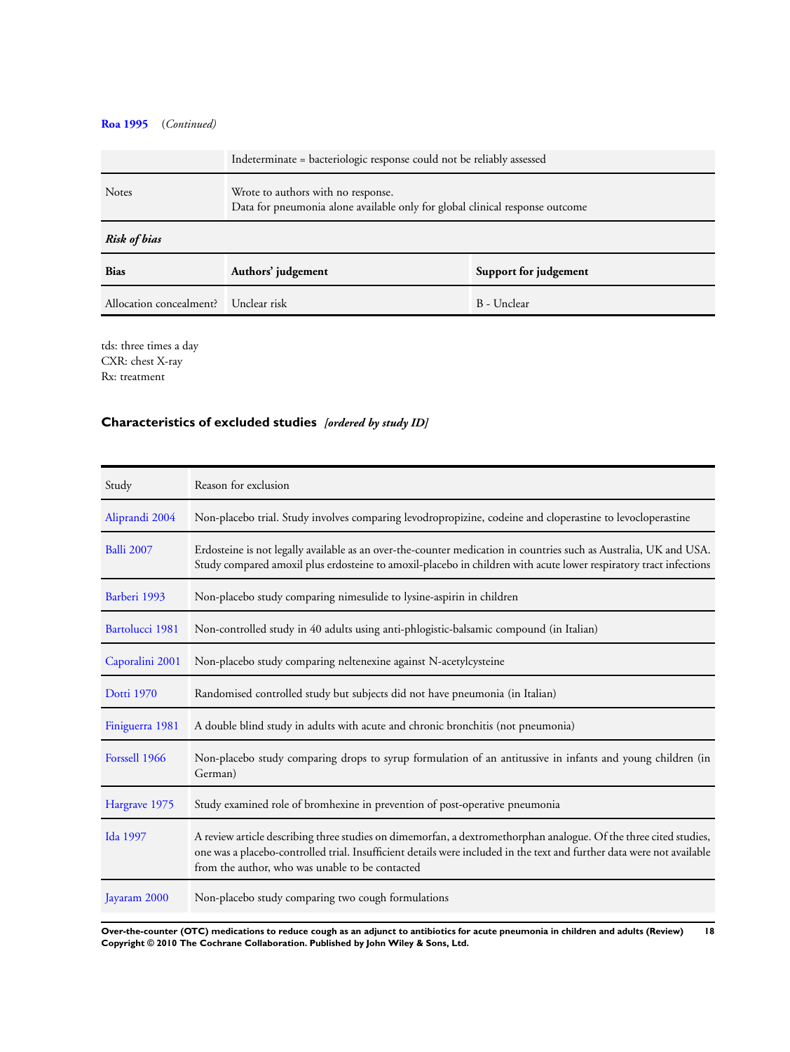# **[Roa 1995](#page-13-0)** (*Continued)*

|                                      | Indeterminate = bacteriologic response could not be reliably assessed                                              |  |  |  |  |  |
|--------------------------------------|--------------------------------------------------------------------------------------------------------------------|--|--|--|--|--|
| <b>Notes</b>                         | Wrote to authors with no response.<br>Data for pneumonia alone available only for global clinical response outcome |  |  |  |  |  |
| <b>Risk of bias</b>                  |                                                                                                                    |  |  |  |  |  |
| <b>Bias</b>                          | Authors' judgement<br>Support for judgement                                                                        |  |  |  |  |  |
| Allocation concealment? Unclear risk | B - Unclear                                                                                                        |  |  |  |  |  |

tds: three times a day CXR: chest X-ray Rx: treatment

# **Characteristics of excluded studies** *[ordered by study ID]*

| Study             | Reason for exclusion                                                                                                                                                                                                                                                                           |
|-------------------|------------------------------------------------------------------------------------------------------------------------------------------------------------------------------------------------------------------------------------------------------------------------------------------------|
| Aliprandi 2004    | Non-placebo trial. Study involves comparing levodropropizine, codeine and cloperastine to levocloperastine                                                                                                                                                                                     |
| <b>Balli 2007</b> | Erdosteine is not legally available as an over-the-counter medication in countries such as Australia, UK and USA.<br>Study compared amoxil plus erdosteine to amoxil-placebo in children with acute lower respiratory tract infections                                                         |
| Barberi 1993      | Non-placebo study comparing nimesulide to lysine-aspirin in children                                                                                                                                                                                                                           |
| Bartolucci 1981   | Non-controlled study in 40 adults using anti-phlogistic-balsamic compound (in Italian)                                                                                                                                                                                                         |
| Caporalini 2001   | Non-placebo study comparing neltenexine against N-acetylcysteine                                                                                                                                                                                                                               |
| <b>Dotti 1970</b> | Randomised controlled study but subjects did not have pneumonia (in Italian)                                                                                                                                                                                                                   |
| Finiguerra 1981   | A double blind study in adults with acute and chronic bronchitis (not pneumonia)                                                                                                                                                                                                               |
| Forssell 1966     | Non-placebo study comparing drops to syrup formulation of an antitussive in infants and young children (in<br>German)                                                                                                                                                                          |
| Hargrave 1975     | Study examined role of bromhexine in prevention of post-operative pneumonia                                                                                                                                                                                                                    |
| Ida 1997          | A review article describing three studies on dimemorfan, a dextromethorphan analogue. Of the three cited studies,<br>one was a placebo-controlled trial. Insufficient details were included in the text and further data were not available<br>from the author, who was unable to be contacted |
| Jayaram 2000      | Non-placebo study comparing two cough formulations                                                                                                                                                                                                                                             |

**Over-the-counter (OTC) medications to reduce cough as an adjunct to antibiotics for acute pneumonia in children and adults (Review) 18 Copyright © 2010 The Cochrane Collaboration. Published by John Wiley & Sons, Ltd.**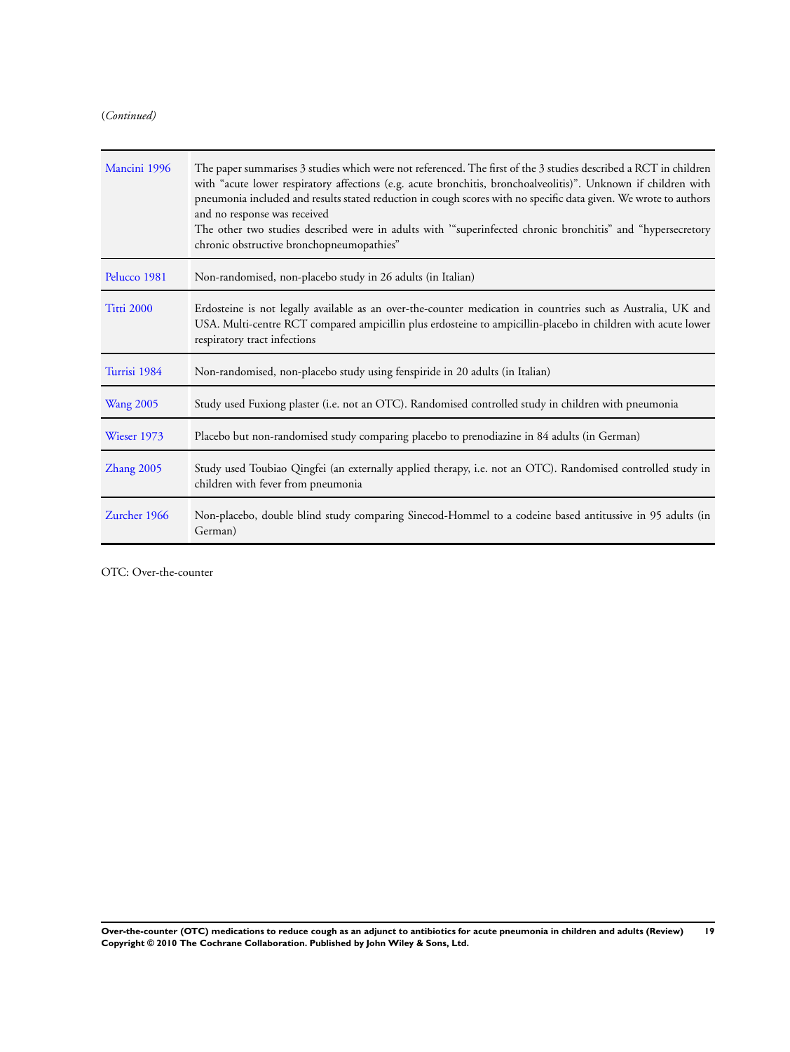(*Continued)*

| Mancini 1996     | The paper summarises 3 studies which were not referenced. The first of the 3 studies described a RCT in children<br>with "acute lower respiratory affections (e.g. acute bronchitis, bronchoalveolitis)". Unknown if children with<br>pneumonia included and results stated reduction in cough scores with no specific data given. We wrote to authors<br>and no response was received<br>The other two studies described were in adults with "superinfected chronic bronchitis" and "hypersecretory<br>chronic obstructive bronchopneumopathies" |
|------------------|---------------------------------------------------------------------------------------------------------------------------------------------------------------------------------------------------------------------------------------------------------------------------------------------------------------------------------------------------------------------------------------------------------------------------------------------------------------------------------------------------------------------------------------------------|
| Pelucco 1981     | Non-randomised, non-placebo study in 26 adults (in Italian)                                                                                                                                                                                                                                                                                                                                                                                                                                                                                       |
| Titti 2000       | Erdosteine is not legally available as an over-the-counter medication in countries such as Australia, UK and<br>USA. Multi-centre RCT compared ampicillin plus erdosteine to ampicillin-placebo in children with acute lower<br>respiratory tract infections                                                                                                                                                                                                                                                                                      |
| Turrisi 1984     | Non-randomised, non-placebo study using fenspiride in 20 adults (in Italian)                                                                                                                                                                                                                                                                                                                                                                                                                                                                      |
| <b>Wang 2005</b> | Study used Fuxiong plaster (i.e. not an OTC). Randomised controlled study in children with pneumonia                                                                                                                                                                                                                                                                                                                                                                                                                                              |
| Wieser 1973      | Placebo but non-randomised study comparing placebo to prenodiazine in 84 adults (in German)                                                                                                                                                                                                                                                                                                                                                                                                                                                       |
| Zhang 2005       | Study used Toubiao Qingfei (an externally applied therapy, i.e. not an OTC). Randomised controlled study in<br>children with fever from pneumonia                                                                                                                                                                                                                                                                                                                                                                                                 |
| Zurcher 1966     | Non-placebo, double blind study comparing Sinecod-Hommel to a codeine based antitussive in 95 adults (in<br>German)                                                                                                                                                                                                                                                                                                                                                                                                                               |

OTC: Over-the-counter

**Over-the-counter (OTC) medications to reduce cough as an adjunct to antibiotics for acute pneumonia in children and adults (Review) 19 Copyright © 2010 The Cochrane Collaboration. Published by John Wiley & Sons, Ltd.**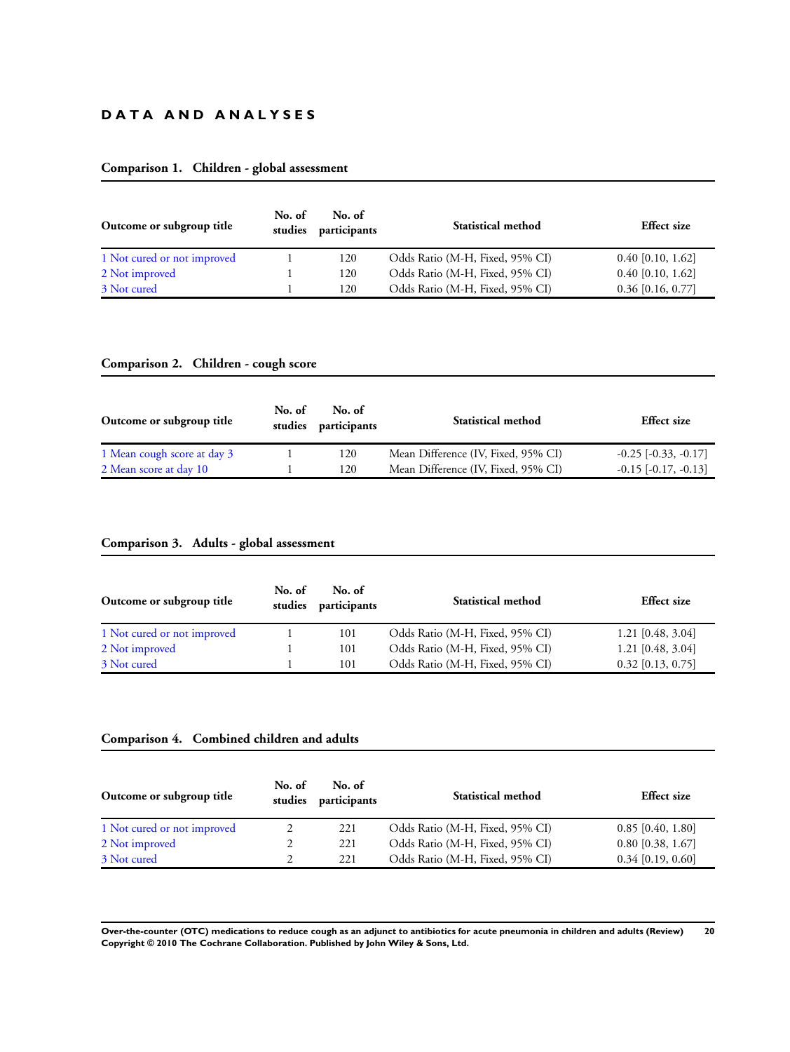# **D A T A A N D A N A L Y S E S**

# **Comparison 1. Children - global assessment**

| Outcome or subgroup title   | No. of<br>studies | No. of<br>participants | <b>Statistical method</b>       | <b>Effect</b> size  |
|-----------------------------|-------------------|------------------------|---------------------------------|---------------------|
| 1 Not cured or not improved |                   | 120                    | Odds Ratio (M-H, Fixed, 95% CI) | $0.40$ [0.10, 1.62] |
| 2 Not improved              |                   | 120                    | Odds Ratio (M-H, Fixed, 95% CI) | $0.40$ [0.10, 1.62] |
| 3 Not cured                 |                   | 120                    | Odds Ratio (M-H, Fixed, 95% CI) | $0.36$ [0.16, 0.77] |

# **Comparison 2. Children - cough score**

| Outcome or subgroup title   | No. of<br>studies | No. of<br>participants | <b>Statistical method</b>           | <b>Effect</b> size       |
|-----------------------------|-------------------|------------------------|-------------------------------------|--------------------------|
| 1 Mean cough score at day 3 |                   | 120                    | Mean Difference (IV, Fixed, 95% CI) | $-0.25$ $[-0.33, -0.17]$ |
| 2 Mean score at day 10      |                   | 120                    | Mean Difference (IV, Fixed, 95% CI) | $-0.15$ $[-0.17, -0.13]$ |

# **Comparison 3. Adults - global assessment**

| Outcome or subgroup title   | No. of<br>studies | No. of<br>participants | <b>Statistical method</b>       | <b>Effect</b> size  |
|-----------------------------|-------------------|------------------------|---------------------------------|---------------------|
| 1 Not cured or not improved |                   | 101                    | Odds Ratio (M-H, Fixed, 95% CI) | $1.21$ [0.48, 3.04] |
| 2 Not improved              |                   | 101                    | Odds Ratio (M-H, Fixed, 95% CI) | $1.21$ [0.48, 3.04] |
| 3 Not cured                 |                   | 101                    | Odds Ratio (M-H, Fixed, 95% CI) | $0.32$ [0.13, 0.75] |

# **Comparison 4. Combined children and adults**

| Outcome or subgroup title   | No. of<br>studies | No. of<br>participants | <b>Statistical method</b>       | <b>Effect</b> size  |
|-----------------------------|-------------------|------------------------|---------------------------------|---------------------|
| 1 Not cured or not improved |                   | 221                    | Odds Ratio (M-H, Fixed, 95% CI) | $0.85$ [0.40, 1.80] |
| 2 Not improved              |                   | 221                    | Odds Ratio (M-H, Fixed, 95% CI) | $0.80$ [0.38, 1.67] |
| 3 Not cured                 |                   | 221                    | Odds Ratio (M-H, Fixed, 95% CI) | $0.34$ [0.19, 0.60] |

**Over-the-counter (OTC) medications to reduce cough as an adjunct to antibiotics for acute pneumonia in children and adults (Review) 20 Copyright © 2010 The Cochrane Collaboration. Published by John Wiley & Sons, Ltd.**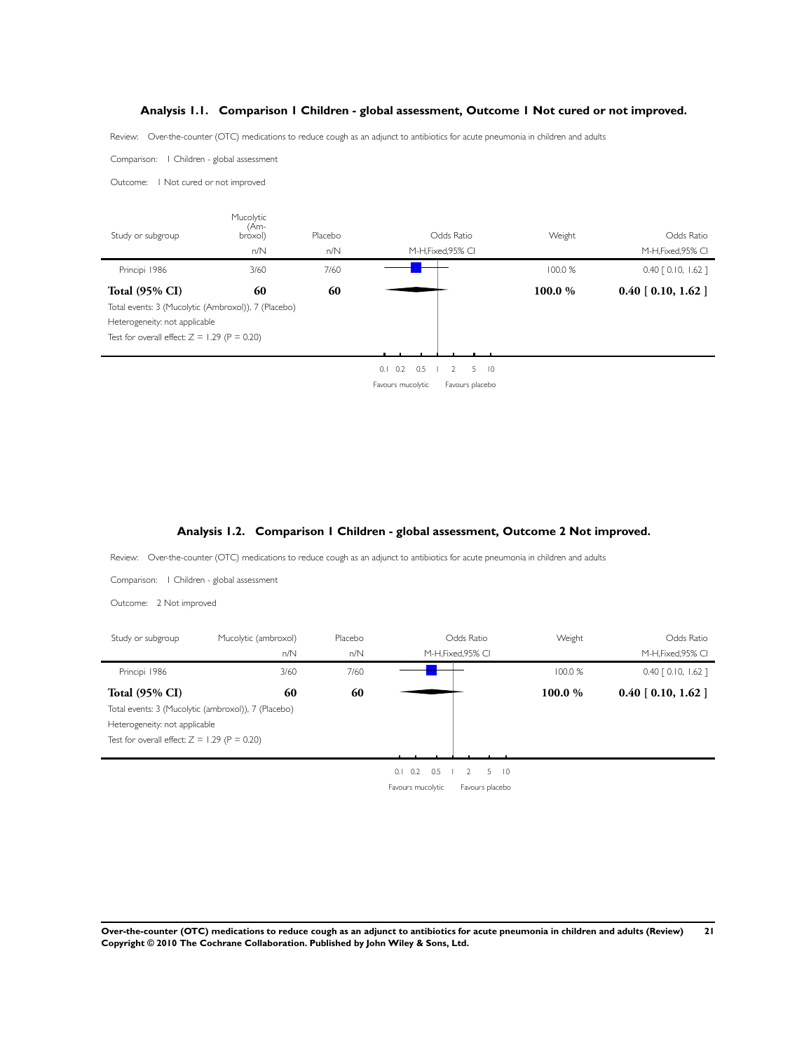# **Analysis 1.1. Comparison 1 Children - global assessment, Outcome 1 Not cured or not improved.**

<span id="page-23-0"></span>Review: Over-the-counter (OTC) medications to reduce cough as an adjunct to antibiotics for acute pneumonia in children and adults

Comparison: 1 Children - global assessment

Outcome: 1 Not cured or not improved



# **Analysis 1.2. Comparison 1 Children - global assessment, Outcome 2 Not improved.**

Review: Over-the-counter (OTC) medications to reduce cough as an adjunct to antibiotics for acute pneumonia in children and adults

Comparison: 1 Children - global assessment

Outcome: 2 Not improved

| Study or subgroup                              | Mucolytic (ambroxol)                                | Placebo |                   | Odds Ratio          | Weight  | Odds Ratio            |
|------------------------------------------------|-----------------------------------------------------|---------|-------------------|---------------------|---------|-----------------------|
|                                                | n/N                                                 | n/N     |                   | M-H.Fixed.95% CI    |         | M-H, Fixed, 95% CI    |
| Principi 1986                                  | 3/60                                                | 7/60    |                   |                     | 100.0 % | $0.40$ $[0.10, 1.62]$ |
| <b>Total (95% CI)</b>                          | 60                                                  | 60      |                   |                     | 100.0%  | $0.40$ [ 0.10, 1.62 ] |
|                                                | Total events: 3 (Mucolytic (ambroxol)), 7 (Placebo) |         |                   |                     |         |                       |
| Heterogeneity: not applicable                  |                                                     |         |                   |                     |         |                       |
| Test for overall effect: $Z = 1.29$ (P = 0.20) |                                                     |         |                   |                     |         |                       |
|                                                |                                                     |         |                   |                     |         |                       |
|                                                |                                                     |         | 0.5<br>0.2<br>0.1 | $5 \quad 10$<br>- 2 |         |                       |
|                                                |                                                     |         | Favours mucolytic | Favours placebo     |         |                       |

**Over-the-counter (OTC) medications to reduce cough as an adjunct to antibiotics for acute pneumonia in children and adults (Review) 21 Copyright © 2010 The Cochrane Collaboration. Published by John Wiley & Sons, Ltd.**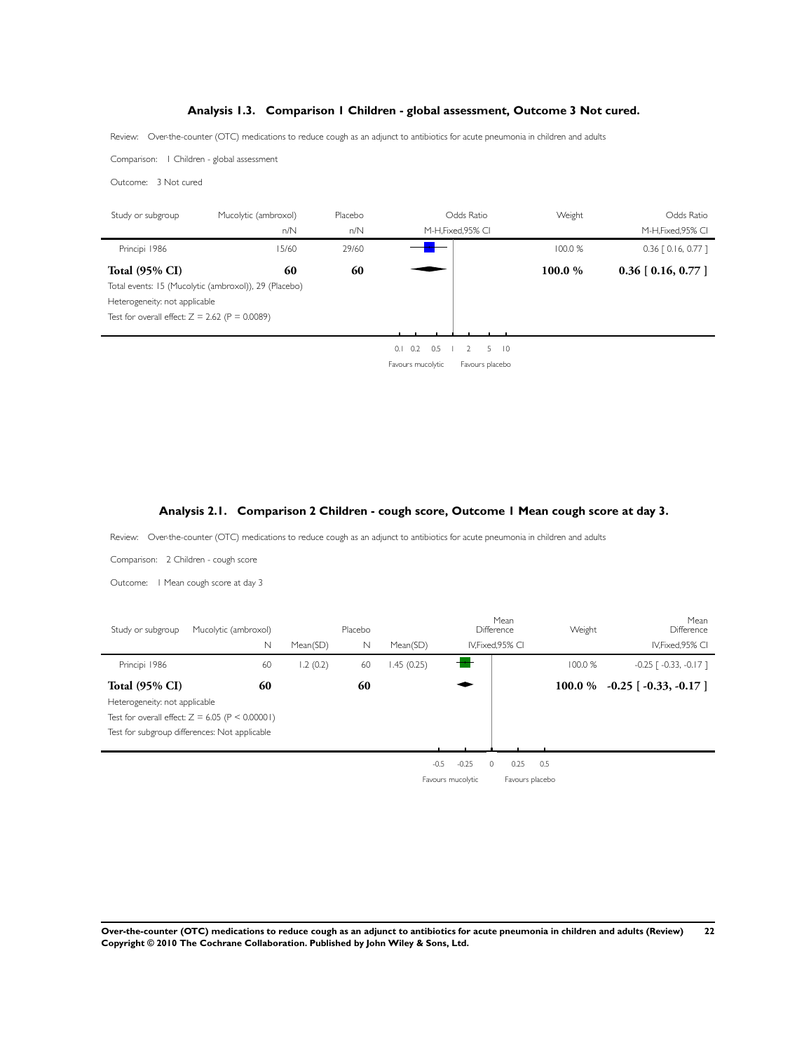# **Analysis 1.3. Comparison 1 Children - global assessment, Outcome 3 Not cured.**

<span id="page-24-0"></span>Review: Over-the-counter (OTC) medications to reduce cough as an adjunct to antibiotics for acute pneumonia in children and adults

Comparison: 1 Children - global assessment

Outcome: 3 Not cured

| Study or subgroup                                | Mucolytic (ambroxol)                                  | Placebo | Odds Ratio                                                                       | Weight | Odds Ratio            |
|--------------------------------------------------|-------------------------------------------------------|---------|----------------------------------------------------------------------------------|--------|-----------------------|
|                                                  | n/N                                                   | n/N     | M-H, Fixed, 95% CI                                                               |        | M-H, Fixed, 95% CI    |
| Principi 1986                                    | 15/60                                                 | 29/60   |                                                                                  | 100.0% | $0.36$ $[0.16, 0.77]$ |
| <b>Total (95% CI)</b>                            | 60                                                    | 60      |                                                                                  | 100.0% | $0.36$ [ 0.16, 0.77 ] |
|                                                  | Total events: 15 (Mucolytic (ambroxol)), 29 (Placebo) |         |                                                                                  |        |                       |
| Heterogeneity: not applicable                    |                                                       |         |                                                                                  |        |                       |
| Test for overall effect: $Z = 2.62$ (P = 0.0089) |                                                       |         |                                                                                  |        |                       |
|                                                  |                                                       |         |                                                                                  |        |                       |
|                                                  |                                                       |         | 0.5<br>$0.1 \quad 0.2$<br>$\begin{array}{ccc} & & 2 \end{array}$<br>$5 \quad 10$ |        |                       |
|                                                  |                                                       |         | Favours mucolytic<br>Favours placebo                                             |        |                       |

# **Analysis 2.1. Comparison 2 Children - cough score, Outcome 1 Mean cough score at day 3.**

Review: Over-the-counter (OTC) medications to reduce cough as an adjunct to antibiotics for acute pneumonia in children and adults

Comparison: 2 Children - cough score

Outcome: 1 Mean cough score at day 3

| Study or subgroup                                      | Mucolytic (ambroxol)<br>$\mathbb N$                                                                      | Mean(SD) | Placebo<br>N | Mean(SD)   |                                        | Mean<br>Difference<br>IV.Fixed.95% CI | Weight    | Mean<br>Difference<br>IV, Fixed, 95% CI |
|--------------------------------------------------------|----------------------------------------------------------------------------------------------------------|----------|--------------|------------|----------------------------------------|---------------------------------------|-----------|-----------------------------------------|
| Principi 1986                                          | 60                                                                                                       | 1.2(0.2) | 60           | 1.45(0.25) |                                        |                                       | 100.0%    | $-0.25$ [ $-0.33$ , $-0.17$ ]           |
| <b>Total (95% CI)</b><br>Heterogeneity: not applicable | 60<br>Test for overall effect: $Z = 6.05$ (P < 0.00001)<br>Test for subgroup differences: Not applicable |          | 60           |            |                                        |                                       | 100.0 $%$ | $-0.25$ [ $-0.33$ , $-0.17$ ]           |
|                                                        |                                                                                                          |          |              |            | $-0.25$<br>$-0.5$<br>Favours mucolytic | 0.25<br>$\Omega$<br>Favours placebo   | 0.5       |                                         |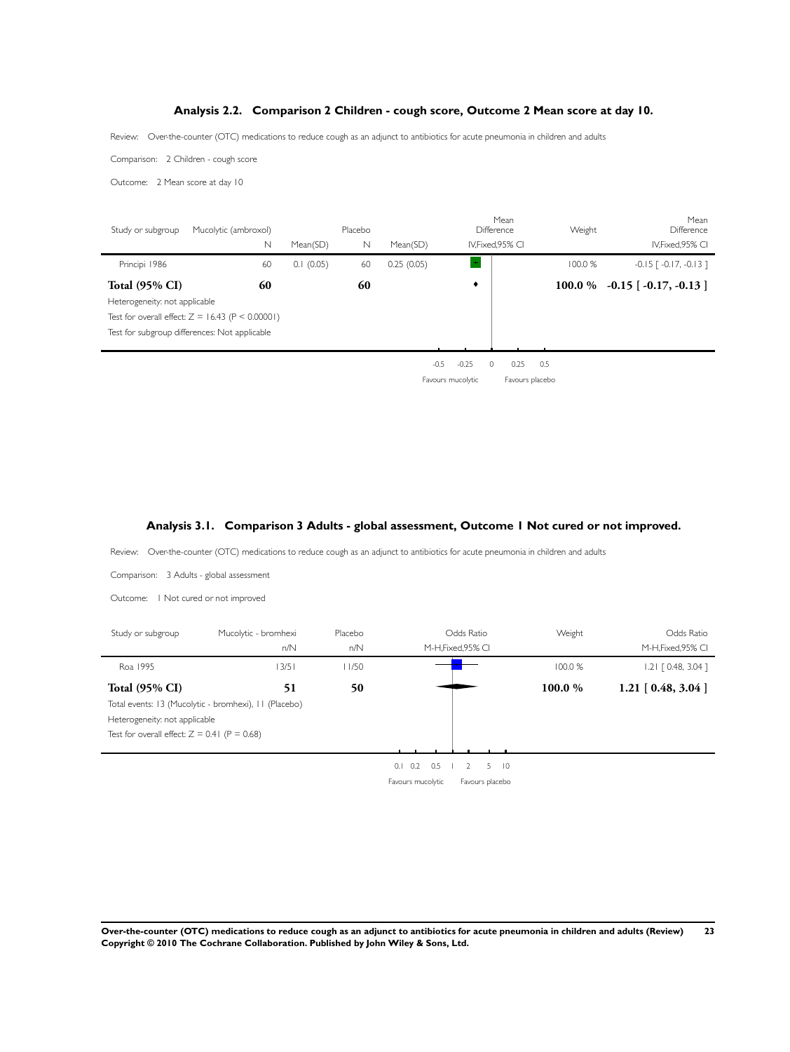# **Analysis 2.2. Comparison 2 Children - cough score, Outcome 2 Mean score at day 10.**

<span id="page-25-0"></span>Review: Over-the-counter (OTC) medications to reduce cough as an adjunct to antibiotics for acute pneumonia in children and adults

Comparison: 2 Children - cough score

Outcome: 2 Mean score at day 10

÷

÷

| Study or subgroup             | Mucolytic (ambroxol)<br>$\mathbb N$                | Mean(SD)  | Placebo<br>N | Mean(SD)   |                               | Mean<br>Difference<br>IV, Fixed, 95% CI | Weight  | Mean<br><b>Difference</b><br>IV, Fixed, 95% CI |
|-------------------------------|----------------------------------------------------|-----------|--------------|------------|-------------------------------|-----------------------------------------|---------|------------------------------------------------|
| Principi 1986                 | 60                                                 | 0.1(0.05) | 60           | 0.25(0.05) |                               |                                         | 100.0%  | $-0.15$ [ $-0.17$ , $-0.13$ ]                  |
| <b>Total (95% CI)</b>         | 60                                                 |           | 60           |            | ٠                             |                                         | 100.0 % | $-0.15$ [ $-0.17, -0.13$ ]                     |
| Heterogeneity: not applicable |                                                    |           |              |            |                               |                                         |         |                                                |
|                               | Test for overall effect: $Z = 16.43$ (P < 0.00001) |           |              |            |                               |                                         |         |                                                |
|                               | Test for subgroup differences: Not applicable      |           |              |            |                               |                                         |         |                                                |
|                               |                                                    |           |              |            |                               |                                         |         |                                                |
|                               |                                                    |           |              |            | $-0.25$<br>$-0.5$<br>$\Omega$ | 0.25                                    | 0.5     |                                                |
|                               |                                                    |           |              |            | Favours mucolytic             | Favours placebo                         |         |                                                |

# **Analysis 3.1. Comparison 3 Adults - global assessment, Outcome 1 Not cured or not improved.**

Review: Over-the-counter (OTC) medications to reduce cough as an adjunct to antibiotics for acute pneumonia in children and adults

| Comparison: 3 Adults - global assessment       |                                                       |                |                                          |         |                                  |
|------------------------------------------------|-------------------------------------------------------|----------------|------------------------------------------|---------|----------------------------------|
| Outcome:                                       | I Not cured or not improved                           |                |                                          |         |                                  |
| Study or subgroup                              | Mucolytic - bromhexi<br>n/N                           | Placebo<br>n/N | Odds Ratio<br>M-H, Fixed, 95% CI         | Weight  | Odds Ratio<br>M-H, Fixed, 95% CI |
| Roa 1995                                       | 13/51                                                 | 11/50          |                                          | 100.0 % | $1.21$ $[0.48, 3.04]$            |
| <b>Total (95% CI)</b>                          | 51                                                    | 50             |                                          | 100.0%  | $1.21$ [ 0.48, 3.04 ]            |
|                                                | Total events: 13 (Mucolytic - bromhexi), 11 (Placebo) |                |                                          |         |                                  |
| Heterogeneity: not applicable                  |                                                       |                |                                          |         |                                  |
| Test for overall effect: $Z = 0.41$ (P = 0.68) |                                                       |                |                                          |         |                                  |
|                                                |                                                       |                | 5<br>$\overline{0}$<br>0.2<br>0.5<br>0.1 |         |                                  |

Favours mucolytic Favours placebo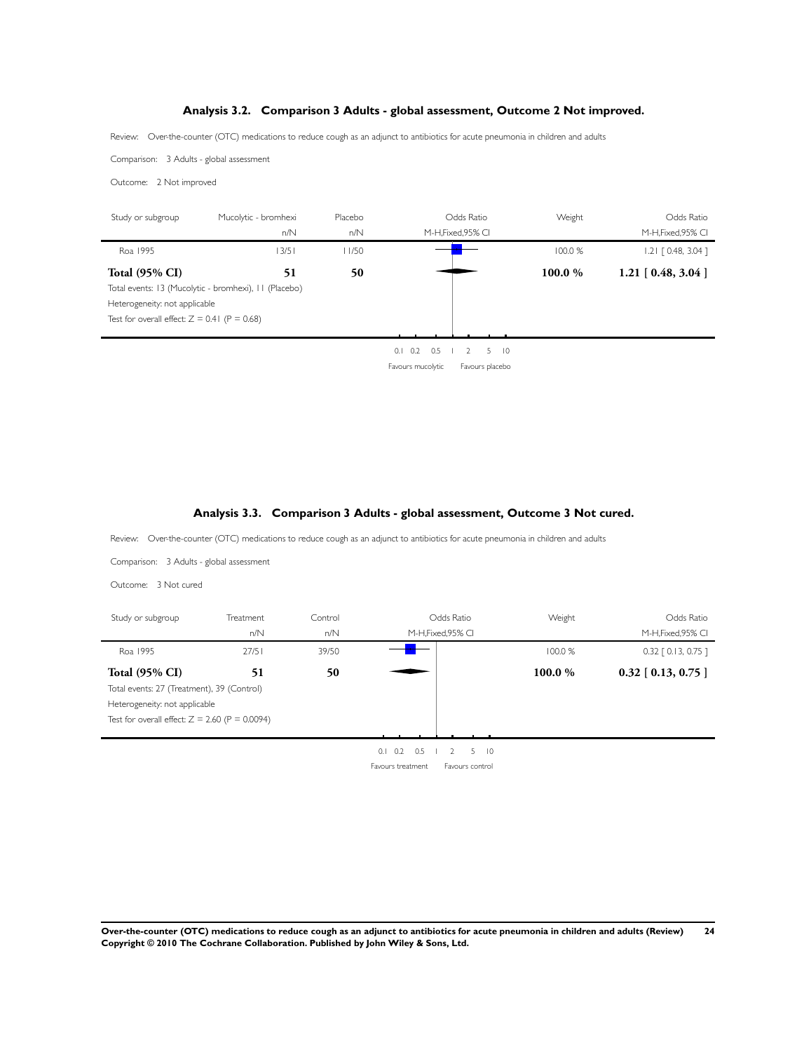# **Analysis 3.2. Comparison 3 Adults - global assessment, Outcome 2 Not improved.**

<span id="page-26-0"></span>Review: Over-the-counter (OTC) medications to reduce cough as an adjunct to antibiotics for acute pneumonia in children and adults

Comparison: 3 Adults - global assessment

Outcome: 2 Not improved

| Study or subgroup                              | Mucolytic - bromhexi                                  | Placebo | Odds Ratio                          | Weight  | Odds Ratio                  |
|------------------------------------------------|-------------------------------------------------------|---------|-------------------------------------|---------|-----------------------------|
|                                                | n/N                                                   | n/N     | M-H, Fixed, 95% CI                  |         | M-H, Fixed, 95% CI          |
| Roa 1995                                       | 13/51                                                 | 11/50   |                                     | 100.0 % | $1.21$ $[0.48, 3.04]$       |
| <b>Total (95% CI)</b>                          | 51                                                    | 50      |                                     | 100.0%  | $1.21 \mid 0.48, 3.04 \mid$ |
|                                                | Total events: 13 (Mucolytic - bromhexi), 11 (Placebo) |         |                                     |         |                             |
| Heterogeneity: not applicable                  |                                                       |         |                                     |         |                             |
| Test for overall effect: $Z = 0.41$ (P = 0.68) |                                                       |         |                                     |         |                             |
|                                                |                                                       |         |                                     |         |                             |
|                                                |                                                       |         | 0.5<br>$\overline{0}$<br>0.1<br>0.2 |         |                             |

Favours mucolytic Favours placebo

# **Analysis 3.3. Comparison 3 Adults - global assessment, Outcome 3 Not cured.**

Review: Over-the-counter (OTC) medications to reduce cough as an adjunct to antibiotics for acute pneumonia in children and adults

Comparison: 3 Adults - global assessment

Outcome: 3 Not cured

| Study or subgroup                                | Treatment | Control | Odds Ratio               |                      | Weight  | Odds Ratio            |
|--------------------------------------------------|-----------|---------|--------------------------|----------------------|---------|-----------------------|
|                                                  | n/N       | n/N     | M-H, Fixed, 95% CI       |                      |         | M-H, Fixed, 95% CI    |
| Roa 1995                                         | 27/51     | 39/50   |                          |                      | 100.0 % | $0.32$ $[0.13, 0.75]$ |
| <b>Total (95% CI)</b>                            | 51        | 50      |                          |                      | 100.0%  | $0.32$ [ 0.13, 0.75 ] |
| Total events: 27 (Treatment), 39 (Control)       |           |         |                          |                      |         |                       |
| Heterogeneity: not applicable                    |           |         |                          |                      |         |                       |
| Test for overall effect: $Z = 2.60$ (P = 0.0094) |           |         |                          |                      |         |                       |
|                                                  |           |         |                          |                      |         |                       |
|                                                  |           |         | 0.1<br>0.2<br>0.5        | 5<br>$\overline{10}$ |         |                       |
|                                                  |           |         | <b>Favours treatment</b> | Favours control      |         |                       |

**Over-the-counter (OTC) medications to reduce cough as an adjunct to antibiotics for acute pneumonia in children and adults (Review) 24 Copyright © 2010 The Cochrane Collaboration. Published by John Wiley & Sons, Ltd.**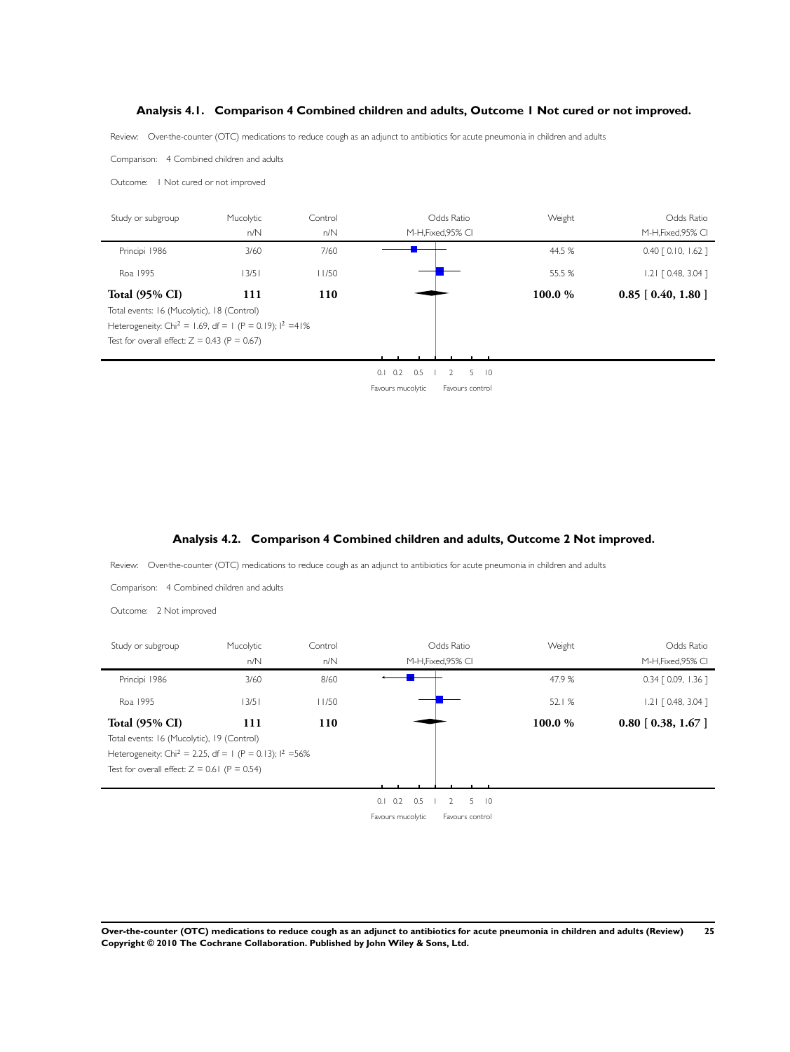# <span id="page-27-0"></span>**Analysis 4.1. Comparison 4 Combined children and adults, Outcome 1 Not cured or not improved.**

Review: Over-the-counter (OTC) medications to reduce cough as an adjunct to antibiotics for acute pneumonia in children and adults

Comparison: 4 Combined children and adults

Outcome: 1 Not cured or not improved

| Study or subgroup                                                     | Mucolytic | Control | Odds Ratio                                | Weight  | Odds Ratio              |
|-----------------------------------------------------------------------|-----------|---------|-------------------------------------------|---------|-------------------------|
|                                                                       | n/N       | n/N     | M-H, Fixed, 95% CI                        |         | M-H.Fixed.95% CI        |
| Principi 1986                                                         | 3/60      | 7/60    |                                           | 44.5 %  | $0.40$ $[0.10, 1.62]$   |
| Roa 1995                                                              | 13/51     | 11/50   |                                           | 55.5 %  | $1.21$ $[0.48, 3.04]$   |
| <b>Total (95% CI)</b>                                                 | 111       | 110     |                                           | 100.0 % | $0.85$ [ $0.40, 1.80$ ] |
| Total events: 16 (Mucolytic), 18 (Control)                            |           |         |                                           |         |                         |
| Heterogeneity: Chi <sup>2</sup> = 1.69, df = 1 (P = 0.19); $1^2$ =41% |           |         |                                           |         |                         |
| Test for overall effect: $Z = 0.43$ (P = 0.67)                        |           |         |                                           |         |                         |
|                                                                       |           |         |                                           |         |                         |
|                                                                       |           |         | 0.2<br>0.5<br>$\overline{0}$<br>5.<br>0.1 |         |                         |

Favours mucolytic Favours control

### **Analysis 4.2. Comparison 4 Combined children and adults, Outcome 2 Not improved.**

Review: Over-the-counter (OTC) medications to reduce cough as an adjunct to antibiotics for acute pneumonia in children and adults

Comparison: 4 Combined children and adults

Outcome: 2 Not improved

| Study or subgroup                                                     | Mucolytic | Control | Odds Ratio                                                             | Weight  | Odds Ratio            |
|-----------------------------------------------------------------------|-----------|---------|------------------------------------------------------------------------|---------|-----------------------|
|                                                                       | n/N       | n/N     | M-H, Fixed, 95% CI                                                     |         | M-H, Fixed, 95% CI    |
| Principi 1986                                                         | 3/60      | 8/60    |                                                                        | 47.9%   | $0.34$ [ 0.09, 1.36 ] |
| Roa 1995                                                              | 13/51     | 11/50   |                                                                        | 52.1%   | $1.21$ $[0.48, 3.04]$ |
| <b>Total (95% CI)</b>                                                 | 111       | 110     |                                                                        | 100.0 % | $0.80$ [ 0.38, 1.67 ] |
| Total events: 16 (Mucolytic), 19 (Control)                            |           |         |                                                                        |         |                       |
| Heterogeneity: Chi <sup>2</sup> = 2.25, df = 1 (P = 0.13); $1^2$ =56% |           |         |                                                                        |         |                       |
| Test for overall effect: $Z = 0.61$ (P = 0.54)                        |           |         |                                                                        |         |                       |
|                                                                       |           |         |                                                                        |         |                       |
|                                                                       |           |         | 0.2<br>0.5<br>5 <sup>5</sup><br>$\overline{0}$<br>0.1<br>$\mathcal{L}$ |         |                       |
|                                                                       |           |         | Favours mucolytic<br>Favours control                                   |         |                       |

**Over-the-counter (OTC) medications to reduce cough as an adjunct to antibiotics for acute pneumonia in children and adults (Review) 25 Copyright © 2010 The Cochrane Collaboration. Published by John Wiley & Sons, Ltd.**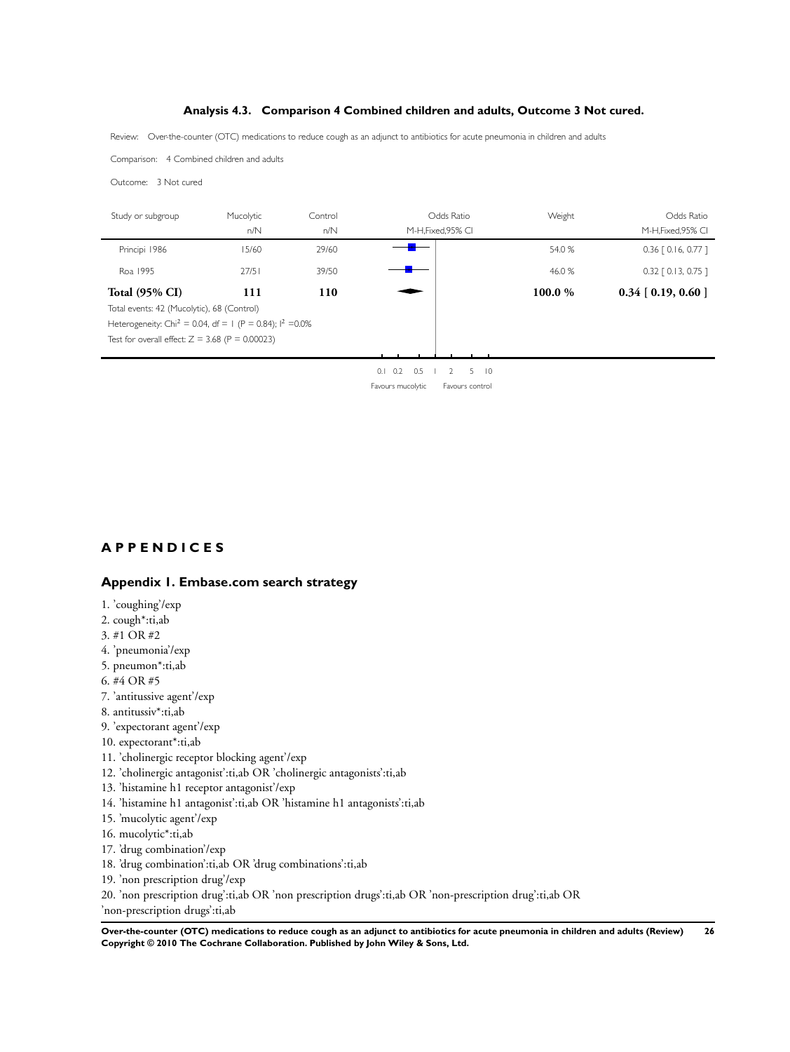# **Analysis 4.3. Comparison 4 Combined children and adults, Outcome 3 Not cured.**

<span id="page-28-0"></span>Review: Over-the-counter (OTC) medications to reduce cough as an adjunct to antibiotics for acute pneumonia in children and adults

Comparison: 4 Combined children and adults

Outcome: 3 Not cured

| Study or subgroup                                                      | Mucolytic<br>n/N | Control<br>n/N | Odds Ratio<br>M-H, Fixed, 95% CI | Weight  | Odds Ratio<br>M-H, Fixed, 95% CI |
|------------------------------------------------------------------------|------------------|----------------|----------------------------------|---------|----------------------------------|
| Principi 1986                                                          | 15/60            | 29/60          |                                  | 54.0 %  | $0.36$ $[0.16, 0.77]$            |
| Roa 1995                                                               | 27/51            | 39/50          |                                  | 46.0 %  | $0.32$ $[0.13, 0.75]$            |
| <b>Total (95% CI)</b>                                                  | 111              | 110            |                                  | 100.0 % | $0.34$ [ 0.19, 0.60 ]            |
| Total events: 42 (Mucolytic), 68 (Control)                             |                  |                |                                  |         |                                  |
| Heterogeneity: Chi <sup>2</sup> = 0.04, df = 1 (P = 0.84); $1^2$ =0.0% |                  |                |                                  |         |                                  |
| Test for overall effect: $Z = 3.68$ (P = 0.00023)                      |                  |                |                                  |         |                                  |
|                                                                        |                  |                |                                  |         |                                  |
|                                                                        |                  |                | AIAD AEID EIA                    |         |                                  |

0.1 0.2 0.5 1 2 5 10 Favours mucolytic Favours control

# **A P P E N D I C E S**

# **Appendix 1. Embase.com search strategy**

- 1. 'coughing'/exp
- 2. cough\*:ti,ab
- 3. #1 OR #2
- 4. 'pneumonia'/exp
- 5. pneumon\*:ti,ab
- 6. #4 OR #5
- 7. 'antitussive agent'/exp
- 8. antitussiv\*:ti,ab
- 9. 'expectorant agent'/exp
- 10. expectorant\*:ti,ab
- 11. 'cholinergic receptor blocking agent'/exp
- 12. 'cholinergic antagonist':ti,ab OR 'cholinergic antagonists':ti,ab
- 13. 'histamine h1 receptor antagonist'/exp
- 14. 'histamine h1 antagonist':ti,ab OR 'histamine h1 antagonists':ti,ab
- 15. 'mucolytic agent'/exp
- 16. mucolytic\*:ti,ab
- 17. 'drug combination'/exp
- 18. 'drug combination':ti,ab OR 'drug combinations':ti,ab
- 19. 'non prescription drug'/exp
- 20. 'non prescription drug':ti,ab OR 'non prescription drugs':ti,ab OR 'non-prescription drug':ti,ab OR 'non-prescription drugs':ti,ab

**Over-the-counter (OTC) medications to reduce cough as an adjunct to antibiotics for acute pneumonia in children and adults (Review) 26 Copyright © 2010 The Cochrane Collaboration. Published by John Wiley & Sons, Ltd.**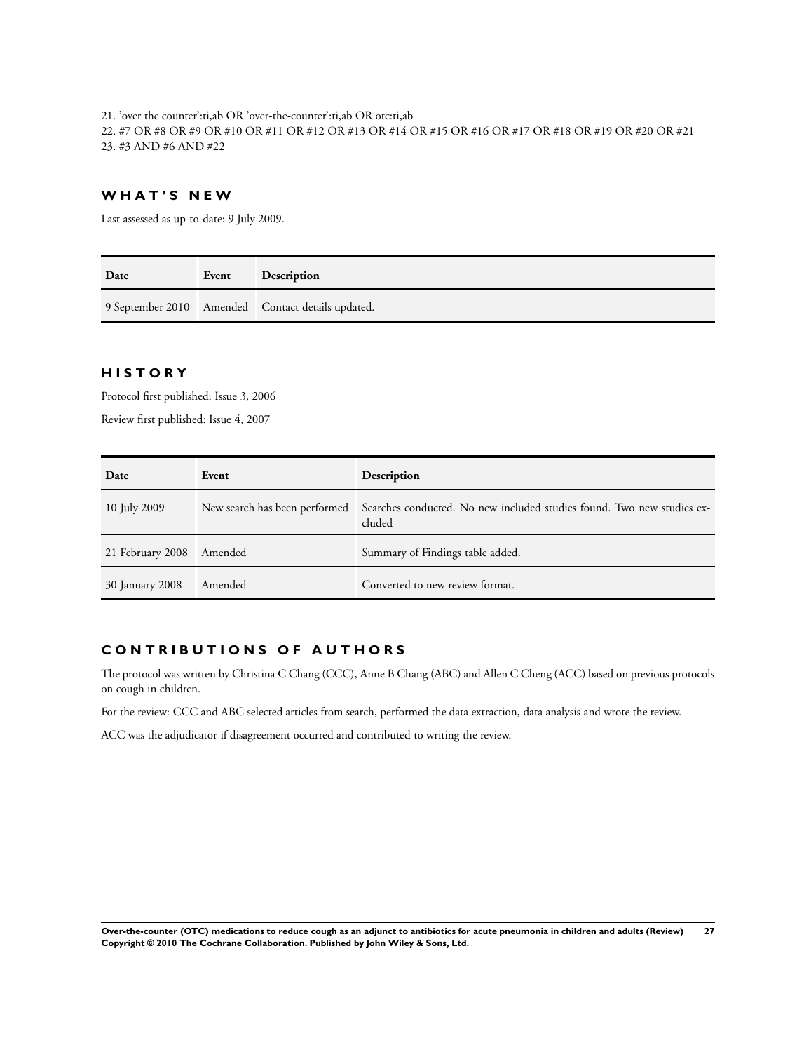21. 'over the counter':ti,ab OR 'over-the-counter':ti,ab OR otc:ti,ab 22. #7 OR #8 OR #9 OR #10 OR #11 OR #12 OR #13 OR #14 OR #15 OR #16 OR #17 OR #18 OR #19 OR #20 OR #21 23. #3 AND #6 AND #22

# **W H A T ' S N E W**

Last assessed as up-to-date: 9 July 2009.

| Date | Event | <b>Description</b>                                |
|------|-------|---------------------------------------------------|
|      |       | 9 September 2010 Amended Contact details updated. |

# **H I S T O R Y**

Protocol first published: Issue 3, 2006

Review first published: Issue 4, 2007

| Date             | Event   | Description                                                                                                    |
|------------------|---------|----------------------------------------------------------------------------------------------------------------|
| 10 July 2009     |         | New search has been performed Searches conducted. No new included studies found. Two new studies ex-<br>cluded |
| 21 February 2008 | Amended | Summary of Findings table added.                                                                               |
| 30 January 2008  | Amended | Converted to new review format.                                                                                |

# **C O N T R I B U T I O N S O F A U T H O R S**

The protocol was written by Christina C Chang (CCC), Anne B Chang (ABC) and Allen C Cheng (ACC) based on previous protocols on cough in children.

For the review: CCC and ABC selected articles from search, performed the data extraction, data analysis and wrote the review.

ACC was the adjudicator if disagreement occurred and contributed to writing the review.